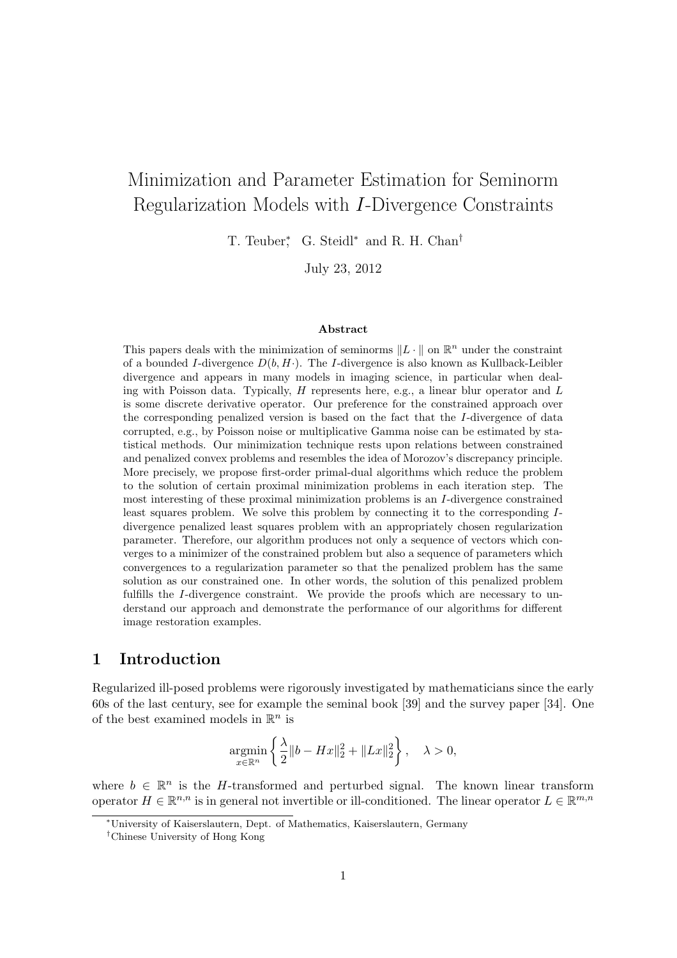# Minimization and Parameter Estimation for Seminorm Regularization Models with I-Divergence Constraints

T. Teuber<sup>\*</sup>, G. Steidl<sup>\*</sup> and R. H. Chan<sup>†</sup>

July 23, 2012

#### Abstract

This papers deals with the minimization of seminorms  $||L \cdot ||$  on  $\mathbb{R}^n$  under the constraint of a bounded I-divergence  $D(b, H)$ . The I-divergence is also known as Kullback-Leibler divergence and appears in many models in imaging science, in particular when dealing with Poisson data. Typically,  $H$  represents here, e.g., a linear blur operator and  $L$ is some discrete derivative operator. Our preference for the constrained approach over the corresponding penalized version is based on the fact that the I-divergence of data corrupted, e.g., by Poisson noise or multiplicative Gamma noise can be estimated by statistical methods. Our minimization technique rests upon relations between constrained and penalized convex problems and resembles the idea of Morozov's discrepancy principle. More precisely, we propose first-order primal-dual algorithms which reduce the problem to the solution of certain proximal minimization problems in each iteration step. The most interesting of these proximal minimization problems is an I-divergence constrained least squares problem. We solve this problem by connecting it to the corresponding Idivergence penalized least squares problem with an appropriately chosen regularization parameter. Therefore, our algorithm produces not only a sequence of vectors which converges to a minimizer of the constrained problem but also a sequence of parameters which convergences to a regularization parameter so that the penalized problem has the same solution as our constrained one. In other words, the solution of this penalized problem fulfills the I-divergence constraint. We provide the proofs which are necessary to understand our approach and demonstrate the performance of our algorithms for different image restoration examples.

## 1 Introduction

Regularized ill-posed problems were rigorously investigated by mathematicians since the early 60s of the last century, see for example the seminal book [39] and the survey paper [34]. One of the best examined models in  $\mathbb{R}^n$  is

$$
\underset{x\in\mathbb{R}^n}{\text{argmin}}\left\{\frac{\lambda}{2}\|b-Hx\|_2^2+\|Lx\|_2^2\right\},\quad\lambda>0,
$$

where  $b \in \mathbb{R}^n$  is the H-transformed and perturbed signal. The known linear transform operator  $H \in \mathbb{R}^{n,n}$  is in general not invertible or ill-conditioned. The linear operator  $L \in \mathbb{R}^{m,n}$ 

<sup>∗</sup>University of Kaiserslautern, Dept. of Mathematics, Kaiserslautern, Germany

<sup>†</sup>Chinese University of Hong Kong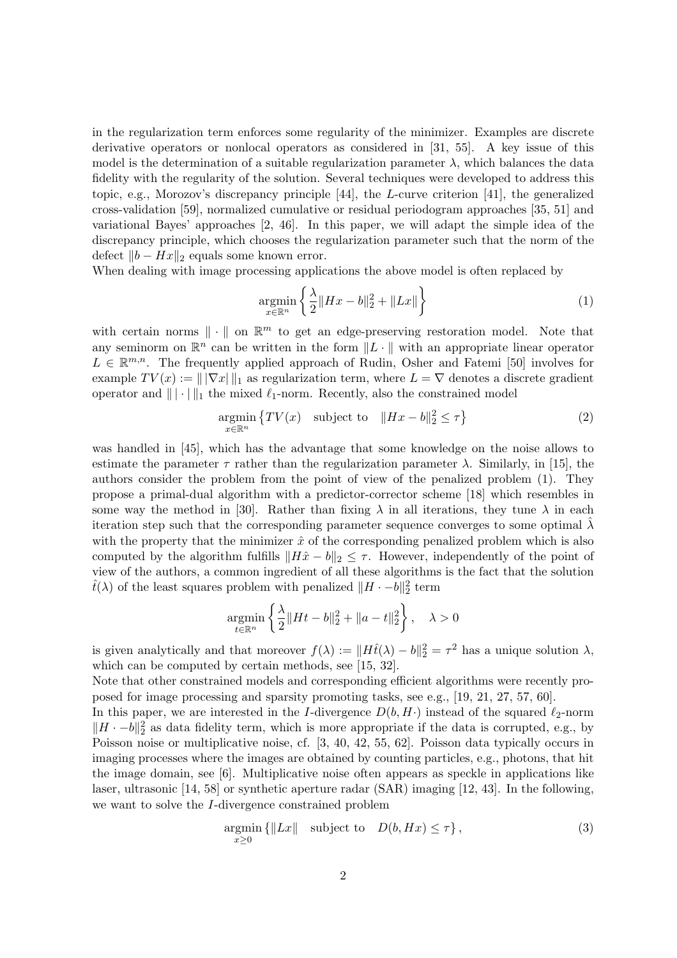in the regularization term enforces some regularity of the minimizer. Examples are discrete derivative operators or nonlocal operators as considered in [31, 55]. A key issue of this model is the determination of a suitable regularization parameter  $\lambda$ , which balances the data fidelity with the regularity of the solution. Several techniques were developed to address this topic, e.g., Morozov's discrepancy principle [44], the L-curve criterion [41], the generalized cross-validation [59], normalized cumulative or residual periodogram approaches [35, 51] and variational Bayes' approaches [2, 46]. In this paper, we will adapt the simple idea of the discrepancy principle, which chooses the regularization parameter such that the norm of the defect  $||b - Hx||_2$  equals some known error.

When dealing with image processing applications the above model is often replaced by

$$
\underset{x \in \mathbb{R}^n}{\text{argmin}} \left\{ \frac{\lambda}{2} \|Hx - b\|_2^2 + \|Lx\| \right\} \tag{1}
$$

with certain norms  $\|\cdot\|$  on  $\mathbb{R}^m$  to get an edge-preserving restoration model. Note that any seminorm on  $\mathbb{R}^n$  can be written in the form  $\|L \cdot\|$  with an appropriate linear operator  $L \in \mathbb{R}^{m,n}$ . The frequently applied approach of Rudin, Osher and Fatemi [50] involves for example  $TV(x) := ||\nabla x||_1$  as regularization term, where  $L = \nabla$  denotes a discrete gradient operator and  $\|\cdot\|_1$  the mixed  $\ell_1$ -norm. Recently, also the constrained model

$$
\underset{x \in \mathbb{R}^n}{\text{argmin}} \left\{ TV(x) \quad \text{subject to} \quad \|Hx - b\|_2^2 \le \tau \right\} \tag{2}
$$

was handled in [45], which has the advantage that some knowledge on the noise allows to estimate the parameter  $\tau$  rather than the regularization parameter  $\lambda$ . Similarly, in [15], the authors consider the problem from the point of view of the penalized problem (1). They propose a primal-dual algorithm with a predictor-corrector scheme [18] which resembles in some way the method in [30]. Rather than fixing  $\lambda$  in all iterations, they tune  $\lambda$  in each iteration step such that the corresponding parameter sequence converges to some optimal  $\lambda$ with the property that the minimizer  $\hat{x}$  of the corresponding penalized problem which is also computed by the algorithm fulfills  $||H\hat{x} - b||_2 \leq \tau$ . However, independently of the point of view of the authors, a common ingredient of all these algorithms is the fact that the solution  $\hat{t}(\lambda)$  of the least squares problem with penalized  $||H \cdot -b||_2^2$  term

$$
\underset{t \in \mathbb{R}^n}{\text{argmin}} \left\{ \frac{\lambda}{2} \|Ht - b\|_2^2 + \|a - t\|_2^2 \right\}, \quad \lambda > 0
$$

is given analytically and that moreover  $f(\lambda) := ||H \hat{t}(\lambda) - b||_2^2 = \tau^2$  has a unique solution  $\lambda$ , which can be computed by certain methods, see [15, 32].

Note that other constrained models and corresponding efficient algorithms were recently proposed for image processing and sparsity promoting tasks, see e.g., [19, 21, 27, 57, 60].

In this paper, we are interested in the I-divergence  $D(b, H)$  instead of the squared  $\ell_2$ -norm  $||H \cdot -b||_2^2$  as data fidelity term, which is more appropriate if the data is corrupted, e.g., by Poisson noise or multiplicative noise, cf. [3, 40, 42, 55, 62]. Poisson data typically occurs in imaging processes where the images are obtained by counting particles, e.g., photons, that hit the image domain, see [6]. Multiplicative noise often appears as speckle in applications like laser, ultrasonic [14, 58] or synthetic aperture radar (SAR) imaging [12, 43]. In the following, we want to solve the I-divergence constrained problem

$$
\underset{x\geq 0}{\text{argmin}} \left\{ \|Lx\| \quad \text{subject to} \quad D(b, Hx) \leq \tau \right\},\tag{3}
$$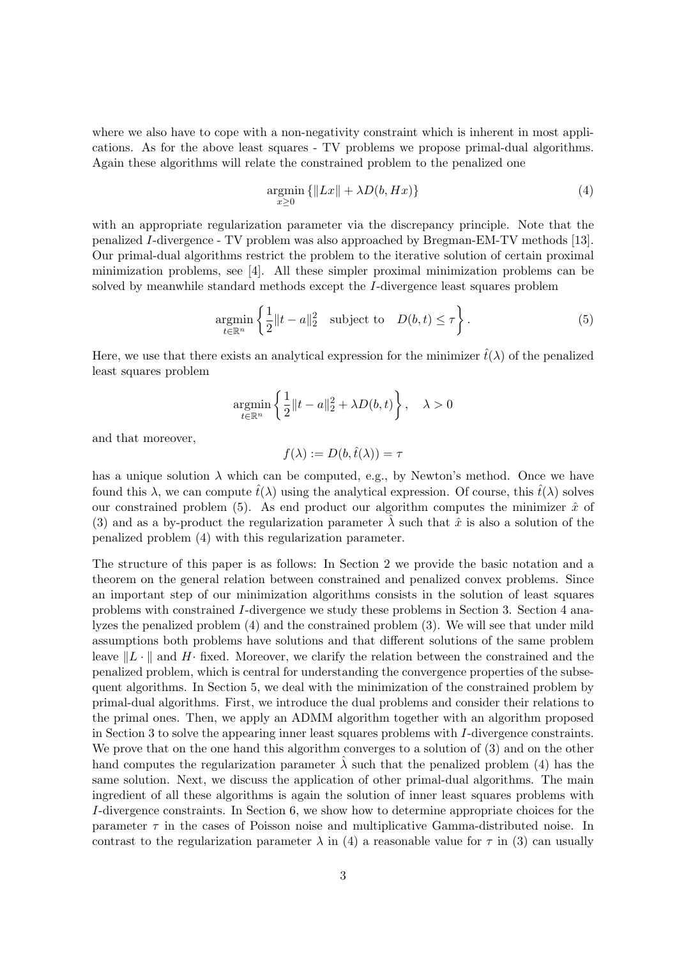where we also have to cope with a non-negativity constraint which is inherent in most applications. As for the above least squares - TV problems we propose primal-dual algorithms. Again these algorithms will relate the constrained problem to the penalized one

$$
\underset{x\geq 0}{\operatorname{argmin}} \left\{ \|Lx\| + \lambda D(b, Hx) \right\} \tag{4}
$$

with an appropriate regularization parameter via the discrepancy principle. Note that the penalized I-divergence - TV problem was also approached by Bregman-EM-TV methods [13]. Our primal-dual algorithms restrict the problem to the iterative solution of certain proximal minimization problems, see [4]. All these simpler proximal minimization problems can be solved by meanwhile standard methods except the I-divergence least squares problem

$$
\underset{t \in \mathbb{R}^n}{\text{argmin}} \left\{ \frac{1}{2} \|t - a\|_2^2 \quad \text{subject to} \quad D(b, t) \le \tau \right\}. \tag{5}
$$

Here, we use that there exists an analytical expression for the minimizer  $\hat{t}(\lambda)$  of the penalized least squares problem

$$
\underset{t\in\mathbb{R}^n}{\text{argmin}}\left\{\frac{1}{2}\|t-a\|_2^2+\lambda D(b,t)\right\},\quad\lambda>0
$$

and that moreover,

$$
f(\lambda) := D(b, \hat{t}(\lambda)) = \tau
$$

has a unique solution  $\lambda$  which can be computed, e.g., by Newton's method. Once we have found this  $\lambda$ , we can compute  $\hat{t}(\lambda)$  using the analytical expression. Of course, this  $\hat{t}(\lambda)$  solves our constrained problem (5). As end product our algorithm computes the minimizer  $\hat{x}$  of (3) and as a by-product the regularization parameter  $\lambda$  such that  $\hat{x}$  is also a solution of the penalized problem (4) with this regularization parameter.

The structure of this paper is as follows: In Section 2 we provide the basic notation and a theorem on the general relation between constrained and penalized convex problems. Since an important step of our minimization algorithms consists in the solution of least squares problems with constrained I-divergence we study these problems in Section 3. Section 4 analyzes the penalized problem (4) and the constrained problem (3). We will see that under mild assumptions both problems have solutions and that different solutions of the same problem leave  $||L \cdot ||$  and H· fixed. Moreover, we clarify the relation between the constrained and the penalized problem, which is central for understanding the convergence properties of the subsequent algorithms. In Section 5, we deal with the minimization of the constrained problem by primal-dual algorithms. First, we introduce the dual problems and consider their relations to the primal ones. Then, we apply an ADMM algorithm together with an algorithm proposed in Section 3 to solve the appearing inner least squares problems with I-divergence constraints. We prove that on the one hand this algorithm converges to a solution of  $(3)$  and on the other hand computes the regularization parameter  $\hat{\lambda}$  such that the penalized problem (4) has the same solution. Next, we discuss the application of other primal-dual algorithms. The main ingredient of all these algorithms is again the solution of inner least squares problems with I-divergence constraints. In Section 6, we show how to determine appropriate choices for the parameter  $\tau$  in the cases of Poisson noise and multiplicative Gamma-distributed noise. In contrast to the regularization parameter  $\lambda$  in (4) a reasonable value for  $\tau$  in (3) can usually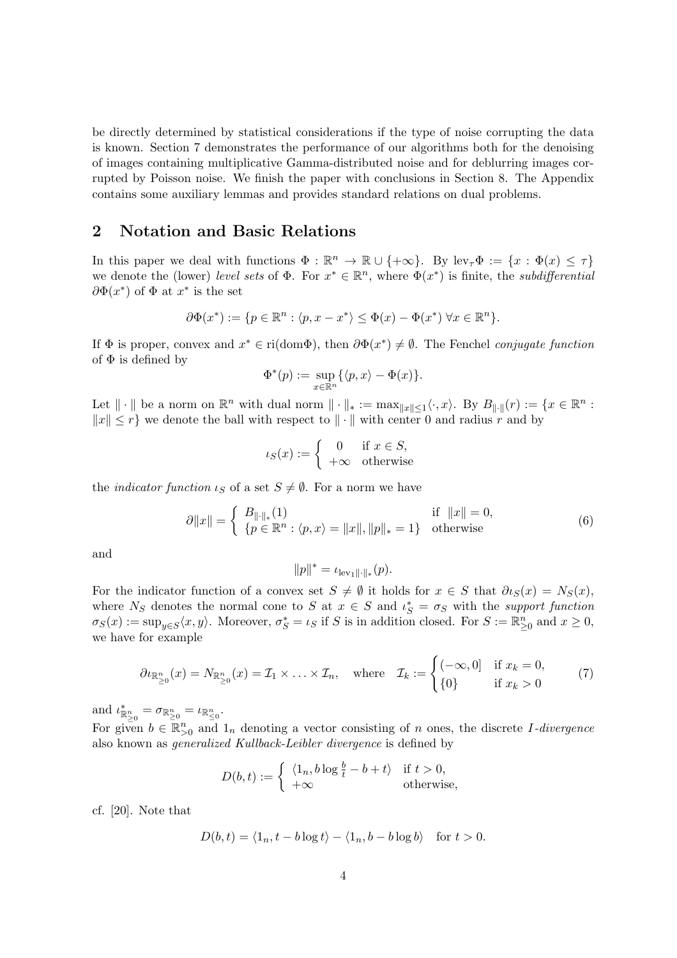be directly determined by statistical considerations if the type of noise corrupting the data is known. Section 7 demonstrates the performance of our algorithms both for the denoising of images containing multiplicative Gamma-distributed noise and for deblurring images corrupted by Poisson noise. We finish the paper with conclusions in Section 8. The Appendix contains some auxiliary lemmas and provides standard relations on dual problems.

## 2 Notation and Basic Relations

In this paper we deal with functions  $\Phi : \mathbb{R}^n \to \mathbb{R} \cup \{+\infty\}.$  By lev<sub> $\tau$ </sub> $\Phi := \{x : \Phi(x) \leq \tau\}$ we denote the (lower) level sets of  $\Phi$ . For  $x^* \in \mathbb{R}^n$ , where  $\Phi(x^*)$  is finite, the subdifferential  $\partial \Phi(x^*)$  of  $\Phi$  at  $x^*$  is the set

$$
\partial \Phi(x^*) := \{ p \in \mathbb{R}^n : \langle p, x - x^* \rangle \leq \Phi(x) - \Phi(x^*) \; \forall x \in \mathbb{R}^n \}.
$$

If  $\Phi$  is proper, convex and  $x^* \in \text{ri}(\text{dom}\Phi)$ , then  $\partial \Phi(x^*) \neq \emptyset$ . The Fenchel *conjugate function* of  $\Phi$  is defined by

$$
\Phi^*(p) := \sup_{x \in \mathbb{R}^n} \{ \langle p, x \rangle - \Phi(x) \}.
$$

Let  $\|\cdot\|$  be a norm on  $\mathbb{R}^n$  with dual norm  $\|\cdot\|_* := \max_{\|x\| \leq 1} \langle \cdot, x \rangle$ . By  $B_{\|\cdot\|}(r) := \{x \in \mathbb{R}^n :$  $||x|| \leq r$  we denote the ball with respect to  $|| \cdot ||$  with center 0 and radius r and by

$$
\iota_S(x) := \begin{cases} 0 & \text{if } x \in S, \\ +\infty & \text{otherwise} \end{cases}
$$

the *indicator function*  $\iota_S$  of a set  $S \neq \emptyset$ . For a norm we have

$$
\partial \|x\| = \begin{cases} B_{\|\cdot\|_*}(1) & \text{if } \|x\| = 0, \\ \{p \in \mathbb{R}^n : \langle p, x \rangle = \|x\|, \|p\|_* = 1\} & \text{otherwise} \end{cases}
$$
(6)

and

$$
||p||^* = \iota_{\text{lev}_1|| \cdot ||_*}(p).
$$

For the indicator function of a convex set  $S \neq \emptyset$  it holds for  $x \in S$  that  $\partial \iota_S(x) = N_S(x)$ , where  $N_S$  denotes the normal cone to S at  $x \in S$  and  $\iota_S^* = \sigma_S$  with the support function  $\sigma_S(x) := \sup_{y \in S} \langle x, y \rangle$ . Moreover,  $\sigma_S^* = \iota_S$  if S is in addition closed. For  $S := \mathbb{R}_{\geq 0}^n$  and  $x \geq 0$ , we have for example

$$
\partial_{\ell_{\mathbb{R}_{\geq 0}^n}}(x) = N_{\mathbb{R}_{\geq 0}^n}(x) = \mathcal{I}_1 \times \ldots \times \mathcal{I}_n, \quad \text{where} \quad \mathcal{I}_k := \begin{cases} (-\infty, 0] & \text{if } x_k = 0, \\ \{0\} & \text{if } x_k > 0 \end{cases} \tag{7}
$$

and  $\iota_{\mathbb{R}_{\geq 0}^n}^* = \sigma_{\mathbb{R}_{\geq 0}^n} = \iota_{\mathbb{R}_{\leq 0}^n}$ .

For given  $b \in \mathbb{R}_{>0}^n$  and  $1_n$  denoting a vector consisting of n ones, the discrete I-divergence also known as generalized Kullback-Leibler divergence is defined by

$$
D(b, t) := \begin{cases} \langle 1_n, b \log \frac{b}{t} - b + t \rangle & \text{if } t > 0, \\ +\infty & \text{otherwise,} \end{cases}
$$

cf. [20]. Note that

$$
D(b, t) = \langle 1_n, t - b \log t \rangle - \langle 1_n, b - b \log b \rangle \quad \text{for } t > 0.
$$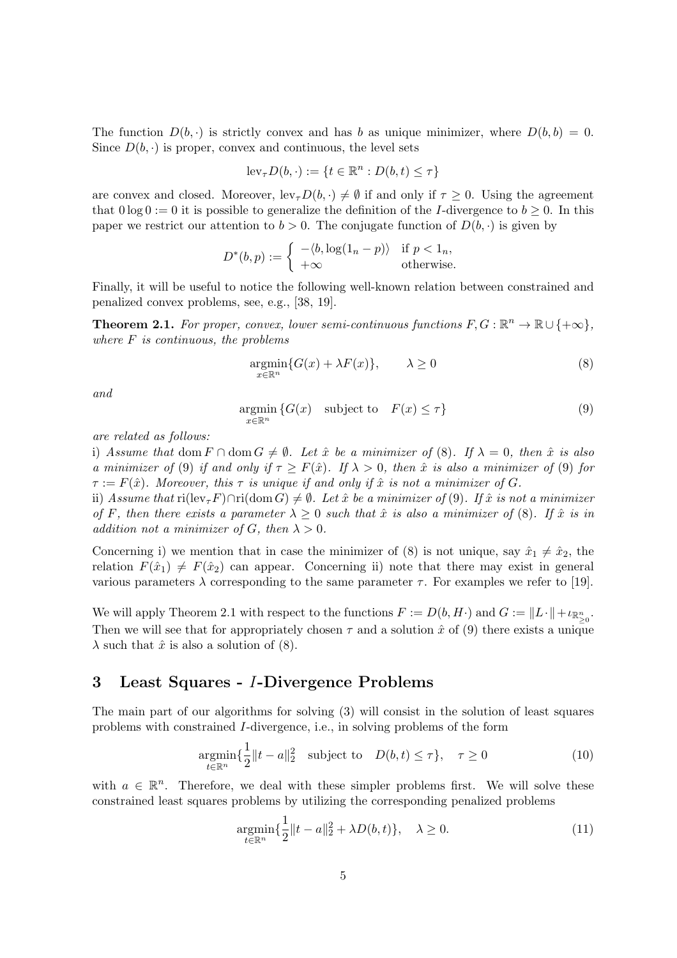The function  $D(b, \cdot)$  is strictly convex and has b as unique minimizer, where  $D(b, b) = 0$ . Since  $D(b, \cdot)$  is proper, convex and continuous, the level sets

$$
\mathrm{lev}_{\tau}D(b,\cdot) := \{ t \in \mathbb{R}^n : D(b,t) \leq \tau \}
$$

are convex and closed. Moreover,  $lev_{\tau}D(b, \cdot) \neq \emptyset$  if and only if  $\tau \geq 0$ . Using the agreement that  $0 \log 0 := 0$  it is possible to generalize the definition of the I-divergence to  $b \ge 0$ . In this paper we restrict our attention to  $b > 0$ . The conjugate function of  $D(b, \cdot)$  is given by

$$
D^*(b, p) := \begin{cases} -\langle b, \log(1_n - p) \rangle & \text{if } p < 1_n, \\ +\infty & \text{otherwise.} \end{cases}
$$

Finally, it will be useful to notice the following well-known relation between constrained and penalized convex problems, see, e.g., [38, 19].

**Theorem 2.1.** For proper, convex, lower semi-continuous functions  $F, G : \mathbb{R}^n \to \mathbb{R} \cup \{+\infty\},\$ where  $F$  is continuous, the problems

$$
\underset{x \in \mathbb{R}^n}{\operatorname{argmin}} \{ G(x) + \lambda F(x) \}, \qquad \lambda \ge 0 \tag{8}
$$

and

$$
\underset{x \in \mathbb{R}^n}{\text{argmin}} \left\{ G(x) \quad \text{subject to} \quad F(x) \le \tau \right\} \tag{9}
$$

are related as follows:

i) Assume that dom  $F \cap \text{dom } G \neq \emptyset$ . Let  $\hat{x}$  be a minimizer of (8). If  $\lambda = 0$ , then  $\hat{x}$  is also a minimizer of (9) if and only if  $\tau \geq F(\hat{x})$ . If  $\lambda > 0$ , then  $\hat{x}$  is also a minimizer of (9) for  $\tau := F(\hat{x})$ . Moreover, this  $\tau$  is unique if and only if  $\hat{x}$  is not a minimizer of G.

ii) Assume that  $\text{ri}(\text{lev}_{\tau}F)\cap\text{ri}(\text{dom }G)\neq\emptyset$ . Let  $\hat{x}$  be a minimizer of (9). If  $\hat{x}$  is not a minimizer of F, then there exists a parameter  $\lambda \geq 0$  such that  $\hat{x}$  is also a minimizer of (8). If  $\hat{x}$  is in addition not a minimizer of G, then  $\lambda > 0$ .

Concerning i) we mention that in case the minimizer of (8) is not unique, say  $\hat{x}_1 \neq \hat{x}_2$ , the relation  $F(\hat{x}_1) \neq F(\hat{x}_2)$  can appear. Concerning ii) note that there may exist in general various parameters  $\lambda$  corresponding to the same parameter  $\tau$ . For examples we refer to [19].

We will apply Theorem 2.1 with respect to the functions  $F := D(b, H\cdot)$  and  $G := ||L\cdot|| + \iota_{\mathbb{R}^n_{\geq 0}}$ . Then we will see that for appropriately chosen  $\tau$  and a solution  $\hat{x}$  of (9) there exists a unique  $\lambda$  such that  $\hat{x}$  is also a solution of (8).

## 3 Least Squares - I-Divergence Problems

The main part of our algorithms for solving (3) will consist in the solution of least squares problems with constrained I-divergence, i.e., in solving problems of the form

$$
\underset{t \in \mathbb{R}^n}{\operatorname{argmin}} \{ \frac{1}{2} \|t - a\|_2^2 \quad \text{subject to} \quad D(b, t) \le \tau \}, \quad \tau \ge 0 \tag{10}
$$

with  $a \in \mathbb{R}^n$ . Therefore, we deal with these simpler problems first. We will solve these constrained least squares problems by utilizing the corresponding penalized problems

$$
\underset{t \in \mathbb{R}^n}{\text{argmin}} \{ \frac{1}{2} \|t - a\|_2^2 + \lambda D(b, t) \}, \quad \lambda \ge 0. \tag{11}
$$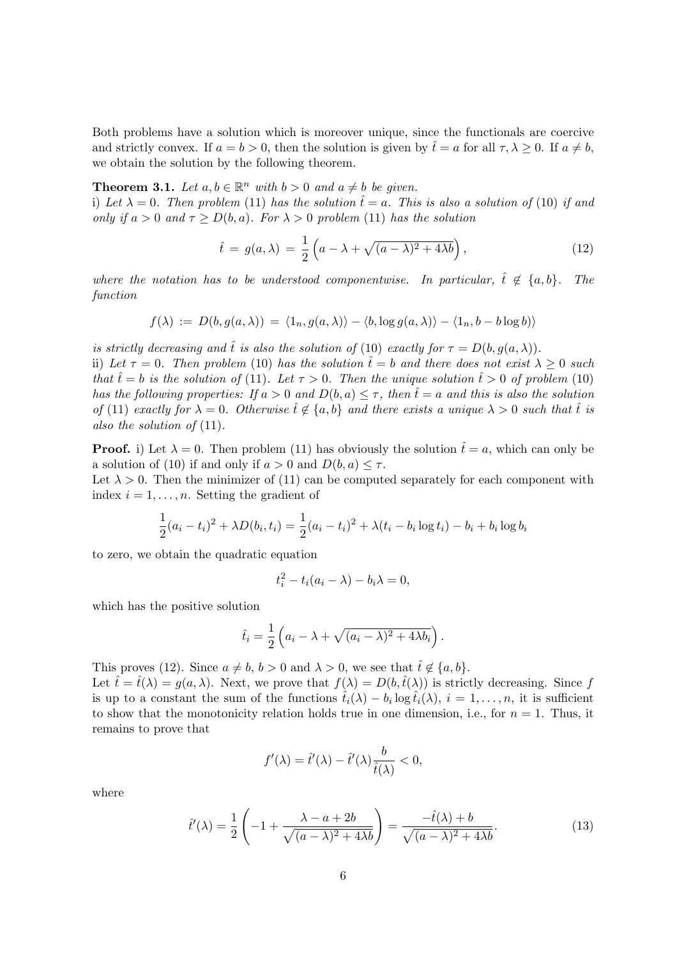Both problems have a solution which is moreover unique, since the functionals are coercive and strictly convex. If  $a = b > 0$ , then the solution is given by  $\hat{t} = a$  for all  $\tau, \lambda \geq 0$ . If  $a \neq b$ , we obtain the solution by the following theorem.

**Theorem 3.1.** Let  $a, b \in \mathbb{R}^n$  with  $b > 0$  and  $a \neq b$  be given.

i) Let  $\lambda = 0$ . Then problem (11) has the solution  $\hat{t} = a$ . This is also a solution of (10) if and only if  $a > 0$  and  $\tau \ge D(b, a)$ . For  $\lambda > 0$  problem (11) has the solution

$$
\hat{t} = g(a,\lambda) = \frac{1}{2} \left( a - \lambda + \sqrt{(a-\lambda)^2 + 4\lambda b} \right),\tag{12}
$$

where the notation has to be understood componentwise. In particular,  $\hat{t} \notin \{a, b\}$ . The function

$$
f(\lambda) \, := \, D(b,g(a,\lambda)) \, = \, \langle 1_n, g(a,\lambda) \rangle - \langle b, \log g(a,\lambda) \rangle - \langle 1_n, b - b \log b \rangle \rangle
$$

is strictly decreasing and  $\hat{t}$  is also the solution of (10) exactly for  $\tau = D(b, g(a, \lambda))$ .

ii) Let  $\tau = 0$ . Then problem (10) has the solution  $\hat{t} = b$  and there does not exist  $\lambda \geq 0$  such that  $\hat{t} = b$  is the solution of (11). Let  $\tau > 0$ . Then the unique solution  $\hat{t} > 0$  of problem (10) has the following properties: If  $a > 0$  and  $D(b, a) \leq \tau$ , then  $\hat{t} = a$  and this is also the solution of (11) exactly for  $\lambda = 0$ . Otherwise  $\hat{t} \notin \{a, b\}$  and there exists a unique  $\lambda > 0$  such that  $\hat{t}$  is also the solution of  $(11)$ .

**Proof.** i) Let  $\lambda = 0$ . Then problem (11) has obviously the solution  $\hat{t} = a$ , which can only be a solution of (10) if and only if  $a > 0$  and  $D(b, a) \leq \tau$ .

Let  $\lambda > 0$ . Then the minimizer of (11) can be computed separately for each component with index  $i = 1, \ldots, n$ . Setting the gradient of

$$
\frac{1}{2}(a_i - t_i)^2 + \lambda D(b_i, t_i) = \frac{1}{2}(a_i - t_i)^2 + \lambda (t_i - b_i \log t_i) - b_i + b_i \log b_i
$$

to zero, we obtain the quadratic equation

$$
t_i^2 - t_i(a_i - \lambda) - b_i\lambda = 0,
$$

which has the positive solution

$$
\hat{t}_i = \frac{1}{2} \left( a_i - \lambda + \sqrt{(a_i - \lambda)^2 + 4\lambda b_i} \right).
$$

This proves (12). Since  $a \neq b$ ,  $b > 0$  and  $\lambda > 0$ , we see that  $\hat{t} \notin \{a, b\}$ .

Let  $\hat{t} = \hat{t}(\lambda) = g(a, \lambda)$ . Next, we prove that  $f(\lambda) = D(b, \hat{t}(\lambda))$  is strictly decreasing. Since f is up to a constant the sum of the functions  $\hat{t}_i(\lambda) - b_i \log \hat{t}_i(\lambda), i = 1, \ldots, n$ , it is sufficient to show that the monotonicity relation holds true in one dimension, i.e., for  $n = 1$ . Thus, it remains to prove that

$$
f'(\lambda) = \hat{t}'(\lambda) - \hat{t}'(\lambda)\frac{b}{\hat{t}(\lambda)} < 0,
$$

where

$$
\hat{t}'(\lambda) = \frac{1}{2} \left( -1 + \frac{\lambda - a + 2b}{\sqrt{(a - \lambda)^2 + 4\lambda b}} \right) = \frac{-\hat{t}(\lambda) + b}{\sqrt{(a - \lambda)^2 + 4\lambda b}}.\tag{13}
$$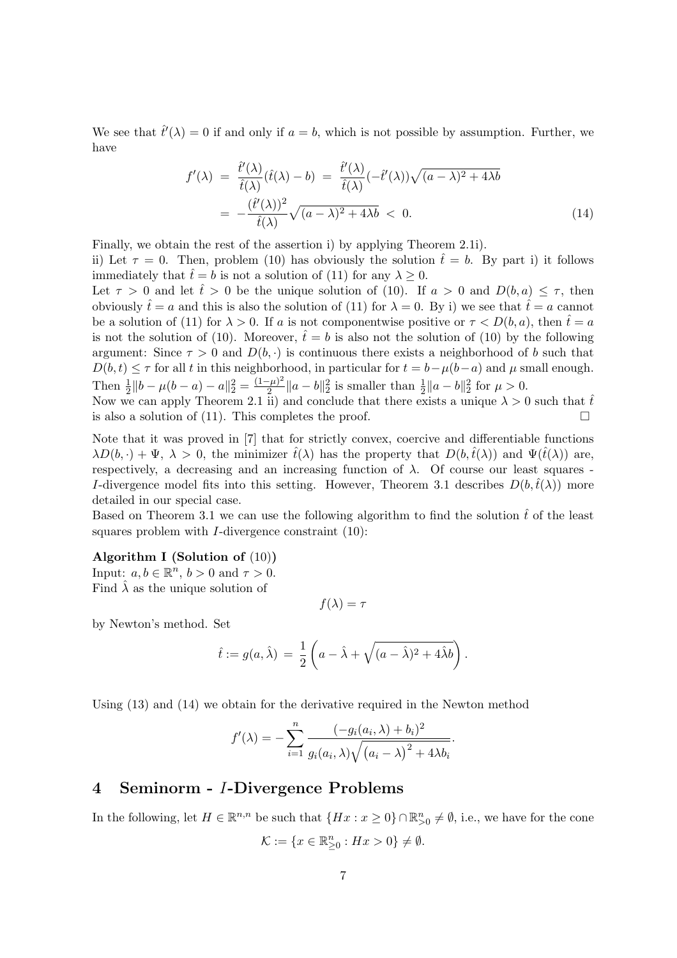We see that  $\hat{t}'(\lambda) = 0$  if and only if  $a = b$ , which is not possible by assumption. Further, we have

$$
f'(\lambda) = \frac{\hat{t}'(\lambda)}{\hat{t}(\lambda)}(\hat{t}(\lambda) - b) = \frac{\hat{t}'(\lambda)}{\hat{t}(\lambda)}(-\hat{t}'(\lambda))\sqrt{(a-\lambda)^2 + 4\lambda b}
$$

$$
= -\frac{(\hat{t}'(\lambda))^2}{\hat{t}(\lambda)}\sqrt{(a-\lambda)^2 + 4\lambda b} < 0.
$$
(14)

Finally, we obtain the rest of the assertion i) by applying Theorem 2.1i).

ii) Let  $\tau = 0$ . Then, problem (10) has obviously the solution  $\hat{t} = b$ . By part i) it follows immediately that  $\hat{t} = b$  is not a solution of (11) for any  $\lambda \geq 0$ .

Let  $\tau > 0$  and let  $\hat{t} > 0$  be the unique solution of (10). If  $a > 0$  and  $D(b, a) \leq \tau$ , then obviously  $\hat{t} = a$  and this is also the solution of (11) for  $\lambda = 0$ . By i) we see that  $\hat{t} = a$  cannot be a solution of (11) for  $\lambda > 0$ . If a is not componentwise positive or  $\tau < D(b, a)$ , then  $\hat{t} = a$ is not the solution of (10). Moreover,  $\hat{t} = b$  is also not the solution of (10) by the following argument: Since  $\tau > 0$  and  $D(b, \cdot)$  is continuous there exists a neighborhood of b such that  $D(b, t) \leq \tau$  for all t in this neighborhood, in particular for  $t = b - \mu(b-a)$  and  $\mu$  small enough. Then  $\frac{1}{2} ||b - \mu(b - a) - a||_2^2 = \frac{(1 - \mu)^2}{2}$  $\frac{1-\mu^2}{2} \|a-b\|_2^2$  is smaller than  $\frac{1}{2} \|a-b\|_2^2$  for  $\mu > 0$ .

Now we can apply Theorem 2.1 ii) and conclude that there exists a unique  $\lambda > 0$  such that  $\hat{t}$ is also a solution of (11). This completes the proof.  $\Box$ 

Note that it was proved in [7] that for strictly convex, coercive and differentiable functions  $\lambda D(b, \cdot) + \Psi$ ,  $\lambda > 0$ , the minimizer  $\hat{t}(\lambda)$  has the property that  $D(b, \hat{t}(\lambda))$  and  $\Psi(\hat{t}(\lambda))$  are, respectively, a decreasing and an increasing function of  $\lambda$ . Of course our least squares -I-divergence model fits into this setting. However, Theorem 3.1 describes  $D(b,\hat{t}(\lambda))$  more detailed in our special case.

Based on Theorem 3.1 we can use the following algorithm to find the solution  $\hat{t}$  of the least squares problem with  $I$ -divergence constraint  $(10)$ :

#### Algorithm I (Solution of (10))

Input:  $a, b \in \mathbb{R}^n$ ,  $b > 0$  and  $\tau > 0$ . Find  $\hat{\lambda}$  as the unique solution of

 $f(\lambda) = \tau$ 

by Newton's method. Set

$$
\hat{t} := g(a,\hat{\lambda}) = \frac{1}{2} \left( a - \hat{\lambda} + \sqrt{(a - \hat{\lambda})^2 + 4\hat{\lambda}b} \right).
$$

Using (13) and (14) we obtain for the derivative required in the Newton method

$$
f'(\lambda) = -\sum_{i=1}^n \frac{(-g_i(a_i, \lambda) + b_i)^2}{g_i(a_i, \lambda)\sqrt{(a_i - \lambda)^2 + 4\lambda b_i}}.
$$

#### 4 Seminorm - I-Divergence Problems

In the following, let  $H \in \mathbb{R}^{n,n}$  be such that  $\{Hx : x \geq 0\} \cap \mathbb{R}_{>0}^n \neq \emptyset$ , i.e., we have for the cone  $\mathcal{K} := \{x \in \mathbb{R}^n_{\geq 0} : Hx > 0\} \neq \emptyset.$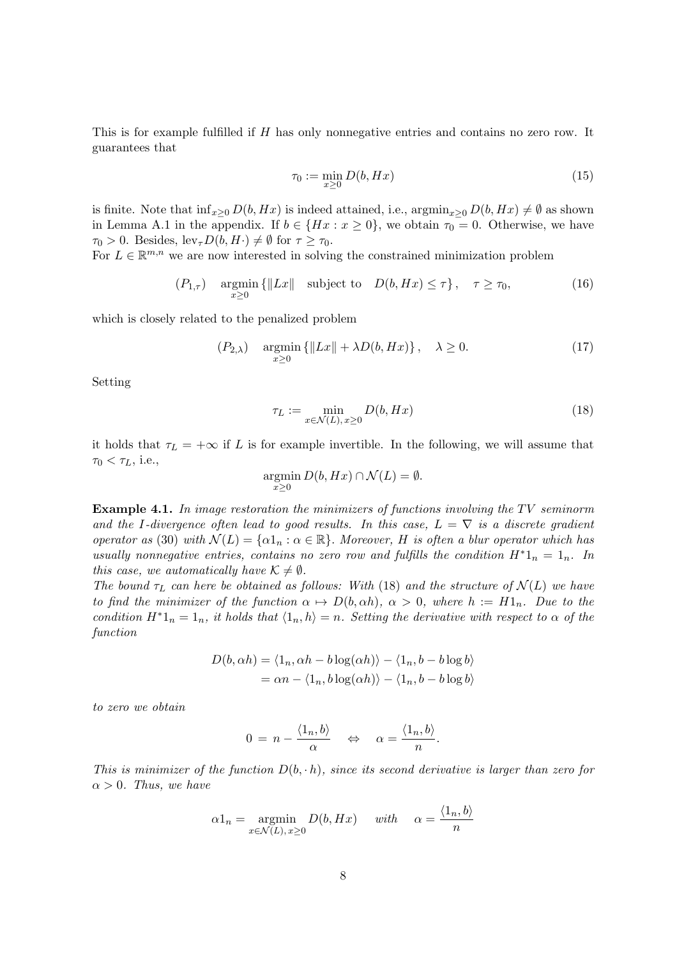This is for example fulfilled if H has only nonnegative entries and contains no zero row. It guarantees that

$$
\tau_0 := \min_{x \ge 0} D(b, Hx) \tag{15}
$$

is finite. Note that  $\inf_{x\geq 0} D(b, Hx)$  is indeed attained, i.e.,  $\operatorname{argmin}_{x\geq 0} D(b, Hx) \neq \emptyset$  as shown in Lemma A.1 in the appendix. If  $b \in \{Hx : x \ge 0\}$ , we obtain  $\tau_0 = 0$ . Otherwise, we have  $\tau_0 > 0$ . Besides,  $\text{lev}_{\tau}D(b, H) \neq \emptyset$  for  $\tau \geq \tau_0$ .

For  $L \in \mathbb{R}^{m,n}$  we are now interested in solving the constrained minimization problem

$$
(P_{1,\tau}) \quad \underset{x\geq 0}{\text{argmin}} \left\{ \|Lx\| \quad \text{subject to} \quad D(b, Hx) \leq \tau \right\}, \quad \tau \geq \tau_0,\tag{16}
$$

which is closely related to the penalized problem

$$
(P_{2,\lambda}) \quad \underset{x\geq 0}{\text{argmin}} \left\{ \|Lx\| + \lambda D(b, Hx) \right\}, \quad \lambda \geq 0. \tag{17}
$$

Setting

$$
\tau_L := \min_{x \in \mathcal{N}(L), x \ge 0} D(b, Hx) \tag{18}
$$

it holds that  $\tau_L = +\infty$  if L is for example invertible. In the following, we will assume that  $\tau_0 < \tau_L$ , i.e.,

$$
\operatorname*{argmin}_{x \ge 0} D(b, Hx) \cap \mathcal{N}(L) = \emptyset.
$$

**Example 4.1.** In image restoration the minimizers of functions involving the TV seminorm and the I-divergence often lead to good results. In this case,  $L = \nabla$  is a discrete gradient operator as (30) with  $\mathcal{N}(L) = \{\alpha 1_n : \alpha \in \mathbb{R}\}\$ . Moreover, H is often a blur operator which has usually nonnegative entries, contains no zero row and fulfills the condition  $H^*1_n = 1_n$ . In this case, we automatically have  $\mathcal{K} \neq \emptyset$ .

The bound  $\tau_L$  can here be obtained as follows: With (18) and the structure of  $\mathcal{N}(L)$  we have to find the minimizer of the function  $\alpha \mapsto D(b, \alpha h)$ ,  $\alpha > 0$ , where  $h := H1_n$ . Due to the condition  $H^*1_n = 1_n$ , it holds that  $\langle 1_n, h \rangle = n$ . Setting the derivative with respect to  $\alpha$  of the function

$$
D(b, \alpha h) = \langle 1_n, \alpha h - b \log(\alpha h) \rangle - \langle 1_n, b - b \log b \rangle
$$
  
=  $\alpha n - \langle 1_n, b \log(\alpha h) \rangle - \langle 1_n, b - b \log b \rangle$ 

to zero we obtain

$$
0 = n - \frac{\langle 1_n, b \rangle}{\alpha} \quad \Leftrightarrow \quad \alpha = \frac{\langle 1_n, b \rangle}{n}.
$$

This is minimizer of the function  $D(b, h)$ , since its second derivative is larger than zero for  $\alpha > 0$ . Thus, we have

$$
\alpha 1_n = \operatorname*{argmin}_{x \in \mathcal{N}(L), x \ge 0} D(b, Hx) \quad \text{with} \quad \alpha = \frac{\langle 1_n, b \rangle}{n}
$$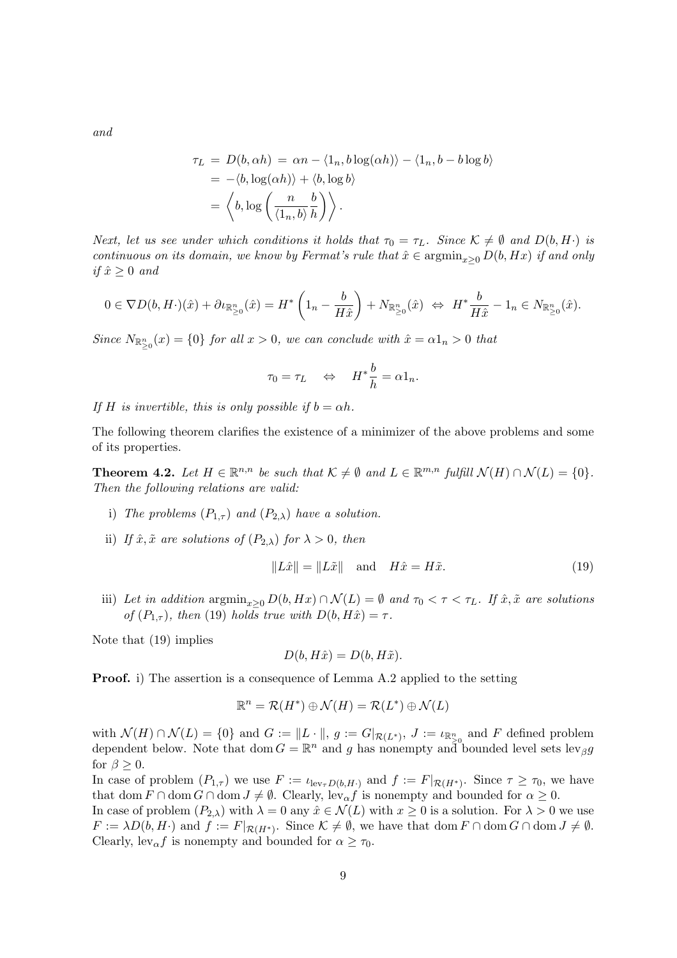and

$$
\tau_L = D(b, \alpha h) = \alpha n - \langle 1_n, b \log(\alpha h) \rangle - \langle 1_n, b - b \log b \rangle
$$
  
= -\langle b, \log(\alpha h) \rangle + \langle b, \log b \rangle  
= \langle b, \log \left( \frac{n}{\langle 1\_n, b \rangle} \frac{b}{h} \right) \rangle.

Next, let us see under which conditions it holds that  $\tau_0 = \tau_L$ . Since  $\mathcal{K} \neq \emptyset$  and  $D(b, H \cdot)$  is continuous on its domain, we know by Fermat's rule that  $\hat{x} \in \operatorname{argmin}_{x>0} D(b, Hx)$  if and only if  $\hat{x} \geq 0$  and

$$
0 \in \nabla D(b, H \cdot)(\hat{x}) + \partial \iota_{\mathbb{R}^n_{\geq 0}}(\hat{x}) = H^* \left( 1_n - \frac{b}{H \hat{x}} \right) + N_{\mathbb{R}^n_{\geq 0}}(\hat{x}) \iff H^* \frac{b}{H \hat{x}} - 1_n \in N_{\mathbb{R}^n_{\geq 0}}(\hat{x}).
$$

Since  $N_{\mathbb{R}_{\geq 0}^n}(x) = \{0\}$  for all  $x > 0$ , we can conclude with  $\hat{x} = \alpha 1_n > 0$  that

$$
\tau_0 = \tau_L \quad \Leftrightarrow \quad H^* \frac{b}{h} = \alpha \mathbb{1}_n.
$$

If H is invertible, this is only possible if  $b = \alpha h$ .

The following theorem clarifies the existence of a minimizer of the above problems and some of its properties.

**Theorem 4.2.** Let  $H \in \mathbb{R}^{n,n}$  be such that  $K \neq \emptyset$  and  $L \in \mathbb{R}^{m,n}$  fulfill  $\mathcal{N}(H) \cap \mathcal{N}(L) = \{0\}.$ Then the following relations are valid:

- i) The problems  $(P_{1,\tau})$  and  $(P_{2,\lambda})$  have a solution.
- ii) If  $\hat{x}, \tilde{x}$  are solutions of  $(P_{2,\lambda})$  for  $\lambda > 0$ , then

$$
||L\hat{x}|| = ||L\tilde{x}|| \quad \text{and} \quad H\hat{x} = H\tilde{x}.\tag{19}
$$

iii) Let in addition  $\operatorname{argmin}_{x>0} D(b, Hx) \cap \mathcal{N}(L) = \emptyset$  and  $\tau_0 < \tau < \tau_L$ . If  $\hat{x}, \tilde{x}$  are solutions of  $(P_{1,\tau})$ , then (19) holds true with  $D(b, H\hat{x}) = \tau$ .

Note that (19) implies

$$
D(b, H\hat{x}) = D(b, H\tilde{x}).
$$

**Proof.** i) The assertion is a consequence of Lemma A.2 applied to the setting

$$
\mathbb{R}^n = \mathcal{R}(H^*) \oplus \mathcal{N}(H) = \mathcal{R}(L^*) \oplus \mathcal{N}(L)
$$

with  $\mathcal{N}(H) \cap \mathcal{N}(L) = \{0\}$  and  $G := ||L \cdot ||$ ,  $g := G|_{\mathcal{R}(L^*)}$ ,  $J := \iota_{\mathbb{R}^n_{\geq 0}}$  and F defined problem dependent below. Note that dom  $G = \mathbb{R}^n$  and g has nonempty and bounded level sets  $\text{lev}_\beta g$ for  $\beta \geq 0$ .

In case of problem  $(P_{1,\tau})$  we use  $F := \iota_{\text{lev}_{\tau}D(b,H\cdot)}$  and  $f := F|_{\mathcal{R}(H^*)}$ . Since  $\tau \geq \tau_0$ , we have that dom  $F \cap \text{dom } G \cap \text{dom } J \neq \emptyset$ . Clearly, lev<sub> $\alpha$ </sub> f is nonempty and bounded for  $\alpha \geq 0$ .

In case of problem  $(P_{2,\lambda})$  with  $\lambda = 0$  any  $\hat{x} \in \mathcal{N}(L)$  with  $x \geq 0$  is a solution. For  $\lambda > 0$  we use  $F := \lambda D(b, H)$  and  $f := F|_{\mathcal{R}(H^*)}$ . Since  $\mathcal{K} \neq \emptyset$ , we have that  $\text{dom } F \cap \text{dom } G \cap \text{dom } J \neq \emptyset$ . Clearly,  $lev_{\alpha} f$  is nonempty and bounded for  $\alpha \geq \tau_0$ .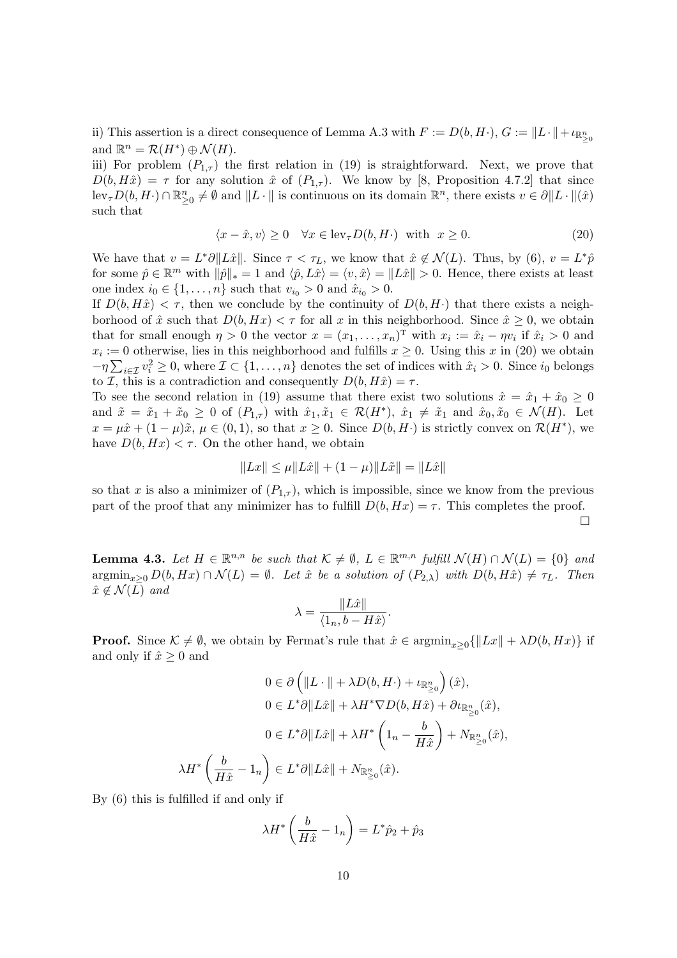ii) This assertion is a direct consequence of Lemma A.3 with  $F := D(b, H\cdot), G := \|L\cdot\| + \iota_{\mathbb{R}^n_{\geq 0}}$ and  $\mathbb{R}^n = \mathcal{R}(H^*) \oplus \mathcal{N}(H)$ .

iii) For problem  $(P_{1,\tau})$  the first relation in (19) is straightforward. Next, we prove that  $D(b, H\hat{x}) = \tau$  for any solution  $\hat{x}$  of  $(P_{1,\tau})$ . We know by [8, Proposition 4.7.2] that since  $\text{lev}_{\tau}D(b, H \cdot) \cap \mathbb{R}_{\geq 0}^n \neq \emptyset$  and  $||L \cdot ||$  is continuous on its domain  $\mathbb{R}^n$ , there exists  $v \in \partial ||L \cdot ||(\hat{x})$ such that

$$
\langle x - \hat{x}, v \rangle \ge 0 \quad \forall x \in \text{lev}_{\tau} D(b, H) \quad \text{with} \quad x \ge 0. \tag{20}
$$

We have that  $v = L^* \partial ||L\hat{x}||$ . Since  $\tau < \tau_L$ , we know that  $\hat{x} \notin \mathcal{N}(L)$ . Thus, by (6),  $v = L^* \hat{p}$ for some  $\hat{p} \in \mathbb{R}^m$  with  $\|\hat{p}\|_* = 1$  and  $\langle \hat{p}, L\hat{x} \rangle = \langle v, \hat{x} \rangle = ||L\hat{x}|| > 0$ . Hence, there exists at least one index  $i_0 \in \{1, ..., n\}$  such that  $v_{i_0} > 0$  and  $\hat{x}_{i_0} > 0$ .

If  $D(b, H\hat{x}) < \tau$ , then we conclude by the continuity of  $D(b, H\cdot)$  that there exists a neighborhood of  $\hat{x}$  such that  $D(b, Hx) < \tau$  for all x in this neighborhood. Since  $\hat{x} \geq 0$ , we obtain that for small enough  $\eta > 0$  the vector  $x = (x_1, \ldots, x_n)$ <sup>T</sup> with  $x_i := \hat{x}_i - \eta v_i$  if  $\hat{x}_i > 0$  and  $x_i := 0$  otherwise, lies in this neighborhood and fulfills  $x \geq 0$ . Using this x in (20) we obtain  $-\eta \sum_{i \in \mathcal{I}} v_i^2 \geq 0$ , where  $\mathcal{I} \subset \{1, \ldots, n\}$  denotes the set of indices with  $\hat{x}_i > 0$ . Since  $i_0$  belongs to *I*, this is a contradiction and consequently  $D(b, H\hat{x}) = \tau$ .

To see the second relation in (19) assume that there exist two solutions  $\hat{x} = \hat{x}_1 + \hat{x}_0 \ge 0$ and  $\tilde{x} = \tilde{x}_1 + \tilde{x}_0 \geq 0$  of  $(P_{1,\tau})$  with  $\tilde{x}_1, \tilde{x}_1 \in \mathcal{R}(H^*)$ ,  $\tilde{x}_1 \neq \tilde{x}_1$  and  $\tilde{x}_0, \tilde{x}_0 \in \mathcal{N}(H)$ . Let  $x = \mu \hat{x} + (1 - \mu)\tilde{x}, \mu \in (0, 1)$ , so that  $x \ge 0$ . Since  $D(b, H)$  is strictly convex on  $\mathcal{R}(H^*)$ , we have  $D(b, Hx) < \tau$ . On the other hand, we obtain

$$
||Lx|| \le \mu ||L\hat{x}|| + (1 - \mu)||L\tilde{x}|| = ||L\hat{x}||
$$

so that x is also a minimizer of  $(P_{1,\tau})$ , which is impossible, since we know from the previous part of the proof that any minimizer has to fulfill  $D(b, Hx) = \tau$ . This completes the proof.

 $\Box$ 

**Lemma 4.3.** Let  $H \in \mathbb{R}^{n,n}$  be such that  $K \neq \emptyset$ ,  $L \in \mathbb{R}^{m,n}$  fulfill  $\mathcal{N}(H) \cap \mathcal{N}(L) = \{0\}$  and  $\operatorname{argmin}_{x>0} D(b, Hx) \cap \mathcal{N}(L) = \emptyset$ . Let  $\hat{x}$  be a solution of  $(P_{2,\lambda})$  with  $D(b, H\hat{x}) \neq \tau_L$ . Then  $\hat{x} \notin \mathcal{N}(L)$  and

$$
\lambda = \frac{\|L\hat{x}\|}{\langle 1_n, b - H\hat{x}\rangle}.
$$

**Proof.** Since  $\mathcal{K} \neq \emptyset$ , we obtain by Fermat's rule that  $\hat{x} \in \operatorname{argmin}_{x>0} {\{\Vert Lx \Vert + \lambda D(b, Hx) \}}$  if and only if  $\hat{x} \geq 0$  and

$$
0 \in \partial \left( \|L \cdot \| + \lambda D(b, H \cdot) + \iota_{\mathbb{R}^n_{\geq 0}} \right)(\hat{x}),
$$
  
\n
$$
0 \in L^* \partial \|L\hat{x}\| + \lambda H^* \nabla D(b, H\hat{x}) + \partial \iota_{\mathbb{R}^n_{\geq 0}}(\hat{x}),
$$
  
\n
$$
0 \in L^* \partial \|L\hat{x}\| + \lambda H^* \left(1_n - \frac{b}{H\hat{x}}\right) + N_{\mathbb{R}^n_{\geq 0}}(\hat{x}),
$$
  
\n
$$
\lambda H^* \left(\frac{b}{H\hat{x}} - 1_n\right) \in L^* \partial \|L\hat{x}\| + N_{\mathbb{R}^n_{\geq 0}}(\hat{x}).
$$

By (6) this is fulfilled if and only if

$$
\lambda H^* \left( \frac{b}{H\hat{x}} - 1_n \right) = L^* \hat{p}_2 + \hat{p}_3
$$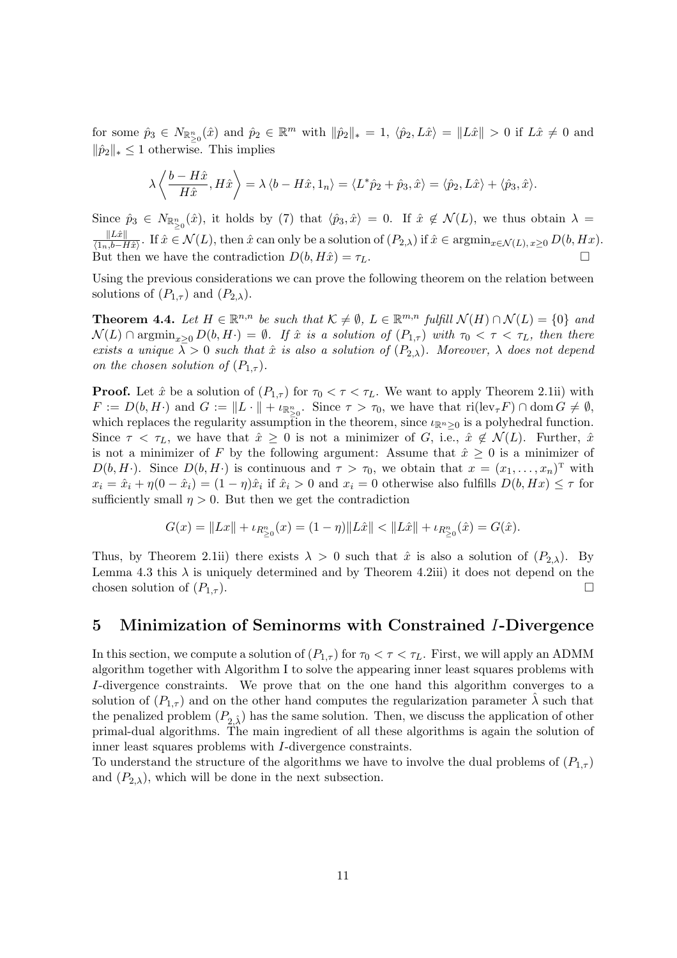for some  $\hat{p}_3 \in N_{\mathbb{R}_{\geq 0}^n}(\hat{x})$  and  $\hat{p}_2 \in \mathbb{R}^m$  with  $\|\hat{p}_2\|_* = 1$ ,  $\langle \hat{p}_2, L\hat{x}\rangle = \|L\hat{x}\| > 0$  if  $L\hat{x} \neq 0$  and  $\|\hat{p}_2\|_* \leq 1$  otherwise. This implies

$$
\lambda \left\langle \frac{b - H\hat{x}}{H\hat{x}}, H\hat{x} \right\rangle = \lambda \left\langle b - H\hat{x}, 1_n \right\rangle = \left\langle L^*\hat{p}_2 + \hat{p}_3, \hat{x} \right\rangle = \left\langle \hat{p}_2, L\hat{x} \right\rangle + \left\langle \hat{p}_3, \hat{x} \right\rangle.
$$

Since  $\hat{p}_3 \in N_{\mathbb{R}^n_{\geq 0}}(\hat{x})$ , it holds by (7) that  $\langle \hat{p}_3, \hat{x} \rangle = 0$ . If  $\hat{x} \notin \mathcal{N}(L)$ , we thus obtain  $\lambda =$  $\Vert L\hat{x}\Vert$  $\frac{\|Lx\|}{\langle 1_n,b-H\hat{x}\rangle}$ . If  $\hat{x}\in\mathcal{N}(L)$ , then  $\hat{x}$  can only be a solution of  $(P_{2,\lambda})$  if  $\hat{x}\in\mathop{\rm argmin}_{x\in\mathcal{N}(L), x\geq 0} D(b,Hx)$ . But then we have the contradiction  $D(b, H\hat{x}) = \tau_L$ .

Using the previous considerations we can prove the following theorem on the relation between solutions of  $(P_{1,\tau})$  and  $(P_{2,\lambda})$ .

**Theorem 4.4.** Let  $H \in \mathbb{R}^{n,n}$  be such that  $\mathcal{K} \neq \emptyset$ ,  $L \in \mathbb{R}^{m,n}$  fulfill  $\mathcal{N}(H) \cap \mathcal{N}(L) = \{0\}$  and  $\mathcal{N}(L) \cap \operatorname{argmin}_{x>0} D(b, H) = \emptyset$ . If  $\hat{x}$  is a solution of  $(P_{1,\tau})$  with  $\tau_0 < \tau < \tau_L$ , then there exists a unique  $\overline{\lambda} > 0$  such that  $\hat{x}$  is also a solution of  $(P_{2,\lambda})$ . Moreover,  $\lambda$  does not depend on the chosen solution of  $(P_{1,\tau})$ .

**Proof.** Let  $\hat{x}$  be a solution of  $(P_{1,\tau})$  for  $\tau_0 < \tau < \tau_L$ . We want to apply Theorem 2.1ii) with  $F := D(b, H)$  and  $G := ||L \cdot || + \iota_{\mathbb{R}^n_{\geq 0}}$ . Since  $\tau > \tau_0$ , we have that  $\text{ri}(\text{lev}_{\tau} F) \cap \text{dom } G \neq \emptyset$ , which replaces the regularity assumption in the theorem, since  $\iota_{\mathbb{R}^n>0}$  is a polyhedral function. Since  $\tau < \tau_L$ , we have that  $\hat{x} \geq 0$  is not a minimizer of G, i.e.,  $\hat{x} \notin \mathcal{N}(L)$ . Further,  $\hat{x}$ is not a minimizer of F by the following argument: Assume that  $\hat{x} \geq 0$  is a minimizer of  $D(b, H)$ . Since  $D(b, H)$  is continuous and  $\tau > \tau_0$ , we obtain that  $x = (x_1, \ldots, x_n)^T$  with  $x_i = \hat{x}_i + \eta(0 - \hat{x}_i) = (1 - \eta)\hat{x}_i$  if  $\hat{x}_i > 0$  and  $x_i = 0$  otherwise also fulfills  $D(b, Hx) \leq \tau$  for sufficiently small  $\eta > 0$ . But then we get the contradiction

$$
G(x) = \|Lx\| + \iota_{R_{\geq 0}^n}(x) = (1 - \eta) \|L\hat{x}\| < \|L\hat{x}\| + \iota_{R_{\geq 0}^n}(\hat{x}) = G(\hat{x}).
$$

Thus, by Theorem 2.1ii) there exists  $\lambda > 0$  such that  $\hat{x}$  is also a solution of  $(P_{2,\lambda})$ . By Lemma 4.3 this  $\lambda$  is uniquely determined and by Theorem 4.2iii) it does not depend on the chosen solution of  $(P_{1,\tau})$ .

### 5 Minimization of Seminorms with Constrained I-Divergence

In this section, we compute a solution of  $(P_{1,\tau})$  for  $\tau_0 < \tau < \tau_L$ . First, we will apply an ADMM algorithm together with Algorithm I to solve the appearing inner least squares problems with I-divergence constraints. We prove that on the one hand this algorithm converges to a solution of  $(P_{1,\tau})$  and on the other hand computes the regularization parameter  $\lambda$  such that the penalized problem  $(P_{2, \hat{\lambda}})$  has the same solution. Then, we discuss the application of other primal-dual algorithms. The main ingredient of all these algorithms is again the solution of inner least squares problems with I-divergence constraints.

To understand the structure of the algorithms we have to involve the dual problems of  $(P_{1,\tau})$ and  $(P_{2,\lambda})$ , which will be done in the next subsection.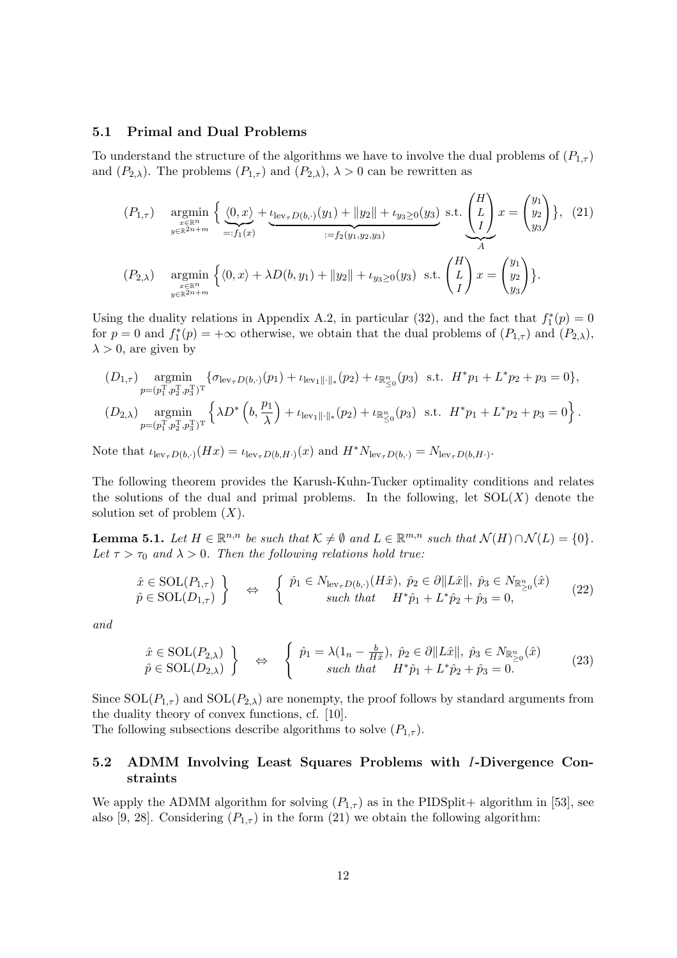#### 5.1 Primal and Dual Problems

To understand the structure of the algorithms we have to involve the dual problems of  $(P_{1\tau})$ and  $(P_{2,\lambda})$ . The problems  $(P_{1,\tau})$  and  $(P_{2,\lambda})$ ,  $\lambda > 0$  can be rewritten as

$$
(P_{1,\tau}) \quad \underset{\substack{x \in \mathbb{R}^n \\ y \in \mathbb{R}^{2n+m}}}{\operatorname{argmin}} \left\{ \underbrace{\langle 0, x \rangle}_{=:f_1(x)} + \underbrace{\iota_{\text{lev}_{\tau}D(b,\cdot)}(y_1) + \|y_2\|}_{:=f_2(y_1, y_2, y_3)} + \iota_{y_3 \ge 0}(y_3)}_{:=f_2(y_1, y_2, y_3)} \text{ s.t. } \left(\frac{L}{L}\right)x = \begin{pmatrix} y_1 \\ y_2 \\ y_3 \end{pmatrix} \right\}, \tag{21}
$$
\n
$$
(P_{2,\lambda}) \quad \underset{\substack{x \in \mathbb{R}^n \\ y \in \mathbb{R}^{2n+m}}}{\operatorname{argmin}} \left\{ \langle 0, x \rangle + \lambda D(b, y_1) + \|y_2\| + \iota_{y_3 \ge 0}(y_3) \text{ s.t. } \left(\frac{L}{L}\right)x = \begin{pmatrix} y_1 \\ y_2 \\ y_3 \end{pmatrix} \right\}.
$$

Using the duality relations in Appendix A.2, in particular (32), and the fact that  $f_1^*(p) = 0$ for  $p = 0$  and  $f_1^*(p) = +\infty$  otherwise, we obtain that the dual problems of  $(P_{1,\tau})$  and  $(P_{2,\lambda})$ ,  $\lambda > 0$ , are given by

$$
(D_{1,\tau}) \underset{p=(p_1^{\mathrm{T}},p_2^{\mathrm{T}},p_3^{\mathrm{T}})^{\mathrm{T}}} {\mathrm{argmin}} \left\{ \sigma_{\text{lev}_{\tau}D(b,\cdot)}(p_1) + \iota_{\text{lev}_1 \|\cdot\|_{*}}(p_2) + \iota_{\mathbb{R}_{\leq 0}^n}(p_3) \text{ s.t. } H^*p_1 + L^*p_2 + p_3 = 0 \right\},
$$
  

$$
(D_{2,\lambda}) \underset{p=(p_1^{\mathrm{T}},p_2^{\mathrm{T}},p_3^{\mathrm{T}})^{\mathrm{T}}} {\mathrm{argmin}} \left\{ \lambda D^* \left( b, \frac{p_1}{\lambda} \right) + \iota_{\text{lev}_1 \|\cdot\|_{*}}(p_2) + \iota_{\mathbb{R}_{\leq 0}^n}(p_3) \text{ s.t. } H^*p_1 + L^*p_2 + p_3 = 0 \right\}.
$$

Note that  $\iota_{\text{lev}_{\tau}D(b,\cdot)}(Hx) = \iota_{\text{lev}_{\tau}D(b,H\cdot)}(x)$  and  $H^*N_{\text{lev}_{\tau}D(b,\cdot)} = N_{\text{lev}_{\tau}D(b,H\cdot)}$ .

The following theorem provides the Karush-Kuhn-Tucker optimality conditions and relates the solutions of the dual and primal problems. In the following, let  $SOL(X)$  denote the solution set of problem  $(X)$ .

**Lemma 5.1.** Let  $H \in \mathbb{R}^{n,n}$  be such that  $K \neq \emptyset$  and  $L \in \mathbb{R}^{m,n}$  such that  $\mathcal{N}(H) \cap \mathcal{N}(L) = \{0\}.$ Let  $\tau > \tau_0$  and  $\lambda > 0$ . Then the following relations hold true:

$$
\hat{x} \in \text{SOL}(P_{1,\tau}) \quad \Longleftrightarrow \quad \left\{ \begin{array}{c} \hat{p}_1 \in N_{\text{lev}_{\tau}D(b,\cdot)}(H\hat{x}), \ \hat{p}_2 \in \partial \|L\hat{x}\|, \ \hat{p}_3 \in N_{\mathbb{R}^n_{\geq 0}}(\hat{x}) \\ such that \quad H^*\hat{p}_1 + L^*\hat{p}_2 + \hat{p}_3 = 0, \end{array} \right. \tag{22}
$$

and

$$
\hat{x} \in \text{SOL}(P_{2,\lambda}) \}
$$
\n
$$
\hat{p} \in \text{SOL}(D_{2,\lambda}) \}
$$
\n
$$
\Leftrightarrow \begin{cases}\n\hat{p}_1 = \lambda(1_n - \frac{b}{H\hat{x}}), \ \hat{p}_2 \in \partial \|L\hat{x}\|, \ \hat{p}_3 \in N_{\mathbb{R}^n_{\geq 0}}(\hat{x}) \\
\text{such that} \quad H^*\hat{p}_1 + L^*\hat{p}_2 + \hat{p}_3 = 0.\n\end{cases}
$$
\n(23)

Since  $SOL(P_{1,\tau})$  and  $SOL(P_{2,\lambda})$  are nonempty, the proof follows by standard arguments from the duality theory of convex functions, cf. [10].

The following subsections describe algorithms to solve  $(P_{1,\tau})$ .

### 5.2 ADMM Involving Least Squares Problems with I-Divergence Constraints

We apply the ADMM algorithm for solving  $(P_{1,\tau})$  as in the PIDSplit+ algorithm in [53], see also [9, 28]. Considering  $(P_{1,\tau})$  in the form (21) we obtain the following algorithm: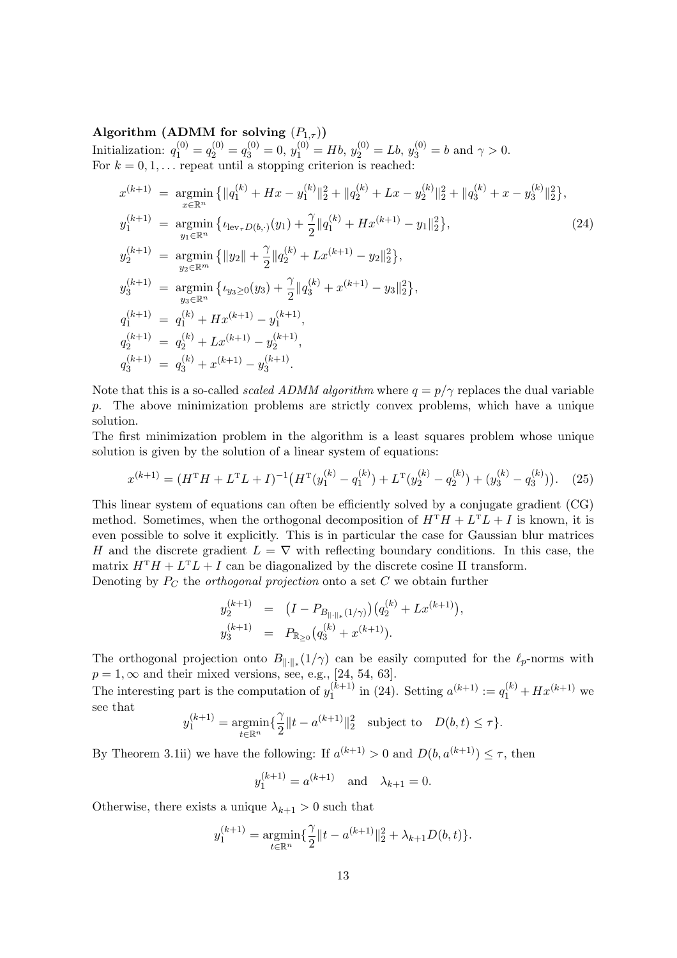Algorithm (ADMM for solving  $(P_{1,\tau}))$ Initialization:  $q_1^{(0)} = q_2^{(0)} = q_3^{(0)} = 0$ ,  $y_1^{(0)} = Hb$ ,  $y_2^{(0)} = Lb$ ,  $y_3^{(0)} = b$  and  $\gamma > 0$ . For  $k = 0, 1, \ldots$  repeat until a stopping criterion is reached:

$$
x^{(k+1)} = \underset{x \in \mathbb{R}^n}{\operatorname{argmin}} \left\{ \|q_1^{(k)} + Hx - y_1^{(k)}\|_2^2 + \|q_2^{(k)} + Lx - y_2^{(k)}\|_2^2 + \|q_3^{(k)} + x - y_3^{(k)}\|_2^2 \right\},
$$
  
\n
$$
y_1^{(k+1)} = \underset{y_1 \in \mathbb{R}^n}{\operatorname{argmin}} \left\{ \iota_{\text{lev}_\tau D(b, \cdot)}(y_1) + \frac{\gamma}{2} \|q_1^{(k)} + Hx^{(k+1)} - y_1\|_2^2 \right\},
$$
  
\n
$$
y_2^{(k+1)} = \underset{y_3 \in \mathbb{R}^m}{\operatorname{argmin}} \left\{ \|y_2\| + \frac{\gamma}{2} \|q_2^{(k)} + Lx^{(k+1)} - y_2\|_2^2 \right\},
$$
  
\n
$$
y_3^{(k+1)} = \underset{y_3 \in \mathbb{R}^n}{\operatorname{argmin}} \left\{ \iota_{y_3 \ge 0}(y_3) + \frac{\gamma}{2} \|q_3^{(k)} + x^{(k+1)} - y_3\|_2^2 \right\},
$$
  
\n
$$
q_1^{(k+1)} = q_1^{(k)} + Hx^{(k+1)} - y_1^{(k+1)},
$$
  
\n
$$
q_2^{(k+1)} = q_2^{(k)} + Lx^{(k+1)} - y_2^{(k+1)},
$$
  
\n
$$
q_3^{(k+1)} = q_3^{(k)} + x^{(k+1)} - y_3^{(k+1)}.
$$
  
\n(24)

Note that this is a so-called *scaled ADMM algorithm* where  $q = p/\gamma$  replaces the dual variable p. The above minimization problems are strictly convex problems, which have a unique solution.

The first minimization problem in the algorithm is a least squares problem whose unique solution is given by the solution of a linear system of equations:

$$
x^{(k+1)} = (H^{\mathrm{T}}H + L^{\mathrm{T}}L + I)^{-1} \left( H^{\mathrm{T}}(y_1^{(k)} - q_1^{(k)}) + L^{\mathrm{T}}(y_2^{(k)} - q_2^{(k)}) + (y_3^{(k)} - q_3^{(k)}) \right). \tag{25}
$$

This linear system of equations can often be efficiently solved by a conjugate gradient (CG) method. Sometimes, when the orthogonal decomposition of  $H<sup>T</sup>H + L<sup>T</sup>L + I$  is known, it is even possible to solve it explicitly. This is in particular the case for Gaussian blur matrices H and the discrete gradient  $L = \nabla$  with reflecting boundary conditions. In this case, the matrix  $H^{T}H + L^{T}L + I$  can be diagonalized by the discrete cosine II transform. Denoting by  $P_C$  the *orthogonal projection* onto a set  $C$  we obtain further

$$
y_2^{(k+1)} = (I - P_{B_{\|\cdot\|_{*}}(1/\gamma)})(q_2^{(k)} + Lx^{(k+1)}),
$$
  

$$
y_3^{(k+1)} = P_{\mathbb{R}_{\geq 0}}(q_3^{(k)} + x^{(k+1)}).
$$

The orthogonal projection onto  $B_{\|\cdot\|_*}(1/\gamma)$  can be easily computed for the  $\ell_p$ -norms with  $p = 1, \infty$  and their mixed versions, see, e.g., [24, 54, 63].

The interesting part is the computation of  $y_1^{(k+1)}$  $j_1^{(k+1)}$  in (24). Setting  $a^{(k+1)} := q_1^{(k)} + Hx^{(k+1)}$  we see that

$$
y_1^{(k+1)} = \underset{t \in \mathbb{R}^n}{\text{argmin}} \{ \frac{\gamma}{2} \|t - a^{(k+1)}\|_2^2 \text{ subject to } D(b, t) \le \tau \}.
$$

By Theorem 3.1ii) we have the following: If  $a^{(k+1)} > 0$  and  $D(b, a^{(k+1)}) \leq \tau$ , then

$$
y_1^{(k+1)} = a^{(k+1)}
$$
 and  $\lambda_{k+1} = 0$ .

Otherwise, there exists a unique  $\lambda_{k+1} > 0$  such that

$$
y_1^{(k+1)} = \underset{t \in \mathbb{R}^n}{\text{argmin}} \{ \frac{\gamma}{2} \| t - a^{(k+1)} \|_2^2 + \lambda_{k+1} D(b, t) \}.
$$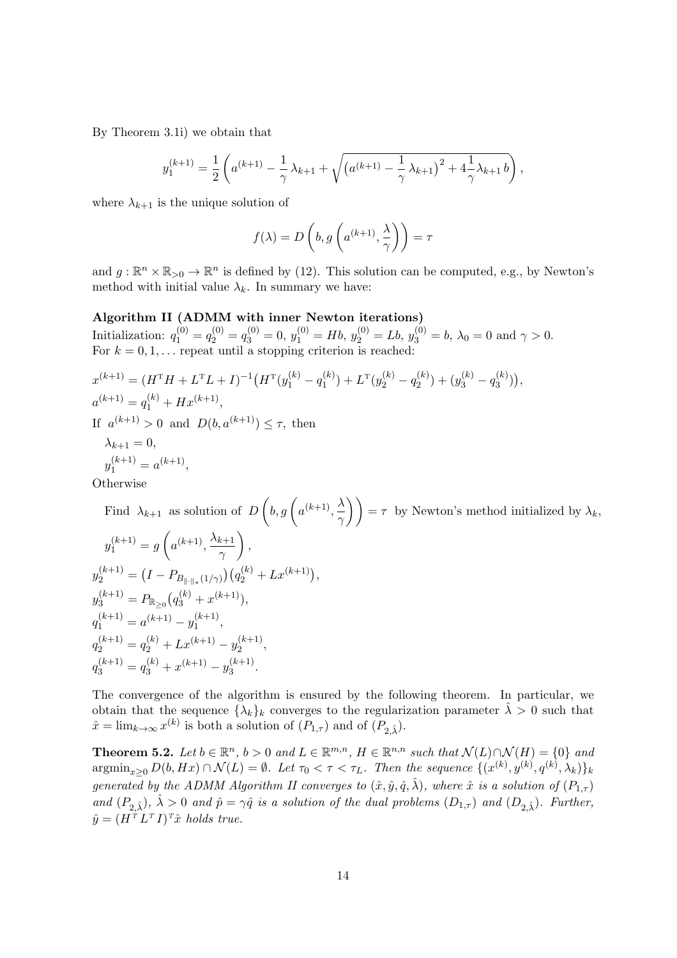By Theorem 3.1i) we obtain that

$$
y_1^{(k+1)} = \frac{1}{2} \left( a^{(k+1)} - \frac{1}{\gamma} \lambda_{k+1} + \sqrt{\left( a^{(k+1)} - \frac{1}{\gamma} \lambda_{k+1} \right)^2 + 4 \frac{1}{\gamma} \lambda_{k+1} b} \right),
$$

where  $\lambda_{k+1}$  is the unique solution of

$$
f(\lambda)=D\left(b,g\left(a^{(k+1)},\frac{\lambda}{\gamma}\right)\right)=\tau
$$

and  $g: \mathbb{R}^n \times \mathbb{R}_{>0} \to \mathbb{R}^n$  is defined by (12). This solution can be computed, e.g., by Newton's method with initial value  $\lambda_k$ . In summary we have:

#### Algorithm II (ADMM with inner Newton iterations)

Initialization:  $q_1^{(0)} = q_2^{(0)} = q_3^{(0)} = 0$ ,  $y_1^{(0)} = Hb$ ,  $y_2^{(0)} = Lb$ ,  $y_3^{(0)} = b$ ,  $\lambda_0 = 0$  and  $\gamma > 0$ . For  $k = 0, 1, \ldots$  repeat until a stopping criterion is reached:

$$
x^{(k+1)} = (H^{\mathrm{T}}H + L^{\mathrm{T}}L + I)^{-1}(H^{\mathrm{T}}(y_1^{(k)} - q_1^{(k)}) + L^{\mathrm{T}}(y_2^{(k)} - q_2^{(k)}) + (y_3^{(k)} - q_3^{(k)})),
$$
  
\n
$$
a^{(k+1)} = q_1^{(k)} + Hx^{(k+1)},
$$
  
\nIf  $a^{(k+1)} > 0$  and  $D(b, a^{(k+1)}) \le \tau$ , then  
\n
$$
\lambda_{k+1} = 0,
$$

$$
y_1^{(k+1)} = a^{(k+1)},
$$

**Otherwise** 

Find  $\lambda_{k+1}$  as solution of D  $\int b, g\int a^{(k+1)}, \frac{\lambda}{a}$  $\left(\frac{\lambda}{\gamma}\right)$  =  $\tau$  by Newton's method initialized by  $\lambda_k$ ,  $y_1^{(k+1)} = g$  $\sqrt{2}$  $a^{(k+1)}, \frac{\lambda_{k+1}}{k}$  $\gamma$  $\setminus$ ,  $y_{2}^{(k+1)} = (I-P_{B_{\|\cdot\|_{*}}(1/\gamma)})\big(q_{2}^{(k)} + Lx^{(k+1)}\big),$  $y_3^{(k+1)} = P_{\mathbb{R}_{\geq 0}}(q_3^{(k)} + x^{(k+1)}),$  $q_1^{(k+1)} = a^{(k+1)} - y_1^{(k+1)}$  $\frac{(k+1)}{1},$  $q_2^{(k+1)} = q_2^{(k)} + Lx^{(k+1)} - y_2^{(k+1)}$  $\frac{(k+1)}{2},$  $q_3^{(k+1)} = q_3^{(k)} + x^{(k+1)} - y_3^{(k+1)}$  $3^{(k+1)}$ .

The convergence of the algorithm is ensured by the following theorem. In particular, we obtain that the sequence  $\{\lambda_k\}_k$  converges to the regularization parameter  $\hat{\lambda} > 0$  such that  $\hat{x} = \lim_{k \to \infty} x^{(k)}$  is both a solution of  $(P_{1,\tau})$  and of  $(P_{2,\hat{\lambda}})$ .

**Theorem 5.2.** Let  $b \in \mathbb{R}^n$ ,  $b > 0$  and  $L \in \mathbb{R}^{m,n}$ ,  $H \in \mathbb{R}^{n,n}$  such that  $\mathcal{N}(L) \cap \mathcal{N}(H) = \{0\}$  and  $\operatorname{argmin}_{x\geq 0} D(b, Hx) \cap \mathcal{N}(L) = \emptyset$ . Let  $\tau_0 < \tau < \tau_L$ . Then the sequence  $\{(x^{(k)}, y^{(k)}, q^{(k)}, \lambda_k)\}_k$ generated by the ADMM Algorithm II converges to  $(\hat{x}, \hat{y}, \hat{q}, \hat{\lambda})$ , where  $\hat{x}$  is a solution of  $(P_{1,\tau})$ and  $(P_{2, \hat{\lambda}}), \hat{\lambda} > 0$  and  $\hat{p} = \gamma \hat{q}$  is a solution of the dual problems  $(D_{1,\tau})$  and  $(D_{2, \hat{\lambda}})$ . Further,  $\hat{y} = (H^T L^T I)^T \hat{x}$  holds true.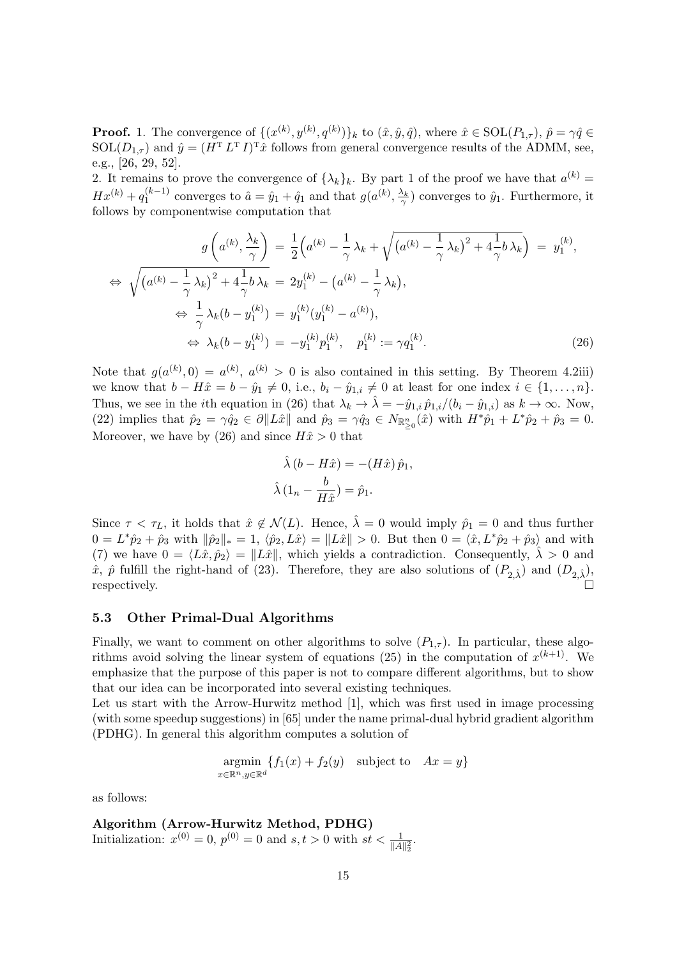**Proof.** 1. The convergence of  $\{(x^{(k)}, y^{(k)}, q^{(k)})\}_k$  to  $(\hat{x}, \hat{y}, \hat{q})$ , where  $\hat{x} \in \text{SOL}(P_{1,\tau})$ ,  $\hat{p} = \gamma \hat{q} \in$  $SOL(D_{1,\tau})$  and  $\hat{y} = (H^{T} L^{T} I)^{T} \hat{x}$  follows from general convergence results of the ADMM, see, e.g., [26, 29, 52].

2. It remains to prove the convergence of  $\{\lambda_k\}_k$ . By part 1 of the proof we have that  $a^{(k)} =$  $Hx^{(k)} + q_1^{(k-1)}$  $j_1^{(k-1)}$  converges to  $\hat{a} = \hat{y}_1 + \hat{q}_1$  and that  $g(a^{(k)}, \frac{\lambda_k}{\gamma})$  converges to  $\hat{y}_1$ . Furthermore, it follows by componentwise computation that

$$
g\left(a^{(k)}, \frac{\lambda_k}{\gamma}\right) = \frac{1}{2}\left(a^{(k)} - \frac{1}{\gamma}\lambda_k + \sqrt{(a^{(k)} - \frac{1}{\gamma}\lambda_k)^2 + 4\frac{1}{\gamma}b\lambda_k}\right) = y_1^{(k)},
$$
  
\n
$$
\Leftrightarrow \sqrt{(a^{(k)} - \frac{1}{\gamma}\lambda_k)^2 + 4\frac{1}{\gamma}b\lambda_k} = 2y_1^{(k)} - (a^{(k)} - \frac{1}{\gamma}\lambda_k),
$$
  
\n
$$
\Leftrightarrow \frac{1}{\gamma}\lambda_k(b - y_1^{(k)}) = y_1^{(k)}(y_1^{(k)} - a^{(k)}),
$$
  
\n
$$
\Leftrightarrow \lambda_k(b - y_1^{(k)}) = -y_1^{(k)}p_1^{(k)}, \quad p_1^{(k)} := \gamma q_1^{(k)}.
$$
\n(26)

Note that  $g(a^{(k)},0) = a^{(k)}, a^{(k)} > 0$  is also contained in this setting. By Theorem 4.2iii) we know that  $b - H\hat{x} = b - \hat{y}_1 \neq 0$ , i.e.,  $b_i - \hat{y}_{1,i} \neq 0$  at least for one index  $i \in \{1, ..., n\}$ . Thus, we see in the *i*th equation in (26) that  $\lambda_k \to \hat{\lambda} = -\hat{y}_{1,i} \hat{p}_{1,i}/(b_i - \hat{y}_{1,i})$  as  $k \to \infty$ . Now, (22) implies that  $\hat{p}_2 = \gamma \hat{q}_2 \in \partial \|L\hat{x}\|$  and  $\hat{p}_3 = \gamma \hat{q}_3 \in N_{\mathbb{R}^n_{\geq 0}}(\hat{x})$  with  $H^*\hat{p}_1 + L^*\hat{p}_2 + \hat{p}_3 = 0$ . Moreover, we have by (26) and since  $H\hat{x} > 0$  that

$$
\hat{\lambda} (b - H\hat{x}) = -(H\hat{x}) \hat{p}_1,
$$
  

$$
\hat{\lambda} (1_n - \frac{b}{H\hat{x}}) = \hat{p}_1.
$$

Since  $\tau < \tau_L$ , it holds that  $\hat{x} \notin \mathcal{N}(L)$ . Hence,  $\hat{\lambda} = 0$  would imply  $\hat{p}_1 = 0$  and thus further  $0 = L^* \hat{p}_2 + \hat{p}_3$  with  $\|\hat{p}_2\|_* = 1$ ,  $\langle \hat{p}_2, L\hat{x}\rangle = \|L\hat{x}\| > 0$ . But then  $0 = \langle \hat{x}, L^* \hat{p}_2 + \hat{p}_3 \rangle$  and with (7) we have  $0 = \langle L\hat{x}, \hat{p}_2 \rangle = ||L\hat{x}||$ , which yields a contradiction. Consequently,  $\hat{\lambda} > 0$  and  $\hat{x}$ ,  $\hat{p}$  fulfill the right-hand of (23). Therefore, they are also solutions of  $(P_{2,\hat{\lambda}})$  and  $(D_{2,\hat{\lambda}})$ , respectively.

#### 5.3 Other Primal-Dual Algorithms

Finally, we want to comment on other algorithms to solve  $(P_{1,\tau})$ . In particular, these algorithms avoid solving the linear system of equations (25) in the computation of  $x^{(k+1)}$ . We emphasize that the purpose of this paper is not to compare different algorithms, but to show that our idea can be incorporated into several existing techniques.

Let us start with the Arrow-Hurwitz method [1], which was first used in image processing (with some speedup suggestions) in [65] under the name primal-dual hybrid gradient algorithm (PDHG). In general this algorithm computes a solution of

$$
\underset{x \in \mathbb{R}^n, y \in \mathbb{R}^d}{\text{argmin}} \{ f_1(x) + f_2(y) \quad \text{subject to} \quad Ax = y \}
$$

as follows:

Algorithm (Arrow-Hurwitz Method, PDHG) Initialization:  $x^{(0)} = 0$ ,  $p^{(0)} = 0$  and  $s, t > 0$  with  $st < \frac{1}{\|A\|_2^2}$ .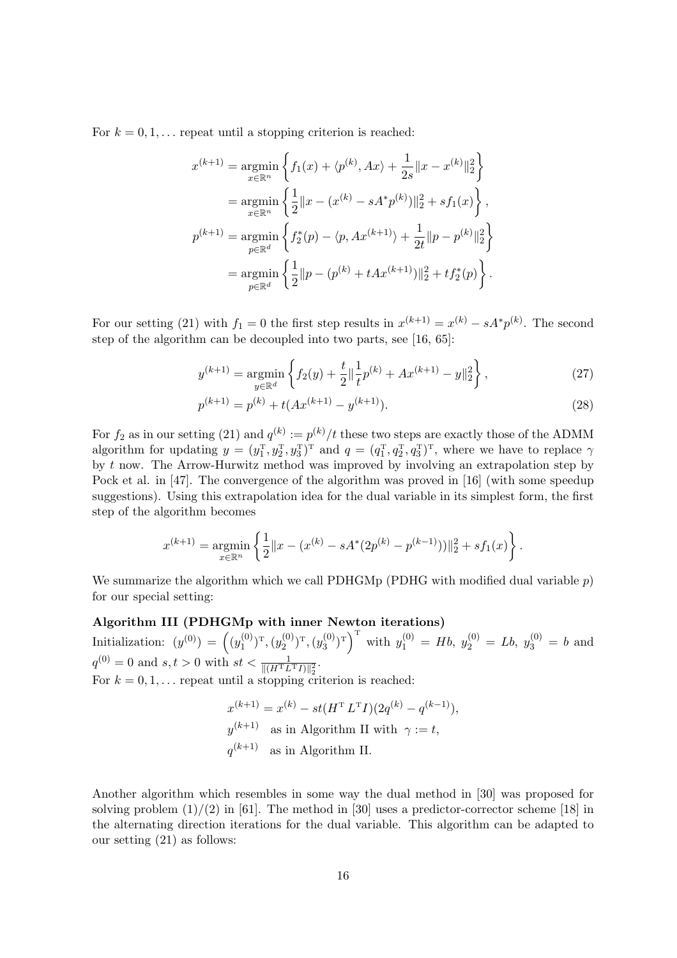For  $k = 0, 1, \ldots$  repeat until a stopping criterion is reached:

$$
x^{(k+1)} = \underset{x \in \mathbb{R}^n}{\operatorname{argmin}} \left\{ f_1(x) + \langle p^{(k)}, Ax \rangle + \frac{1}{2s} ||x - x^{(k)}||_2^2 \right\}
$$
  
\n
$$
= \underset{x \in \mathbb{R}^n}{\operatorname{argmin}} \left\{ \frac{1}{2} ||x - (x^{(k)} - sA^* p^{(k)})||_2^2 + s f_1(x) \right\},
$$
  
\n
$$
p^{(k+1)} = \underset{p \in \mathbb{R}^d}{\operatorname{argmin}} \left\{ f_2^*(p) - \langle p, Ax^{(k+1)} \rangle + \frac{1}{2t} ||p - p^{(k)}||_2^2 \right\}
$$
  
\n
$$
= \underset{p \in \mathbb{R}^d}{\operatorname{argmin}} \left\{ \frac{1}{2} ||p - (p^{(k)} + tAx^{(k+1)})||_2^2 + t f_2^*(p) \right\}.
$$

For our setting (21) with  $f_1 = 0$  the first step results in  $x^{(k+1)} = x^{(k)} - sA^*p^{(k)}$ . The second step of the algorithm can be decoupled into two parts, see [16, 65]:

$$
y^{(k+1)} = \underset{y \in \mathbb{R}^d}{\text{argmin}} \left\{ f_2(y) + \frac{t}{2} \left\| \frac{1}{t} p^{(k)} + Ax^{(k+1)} - y \right\|_2^2 \right\},\tag{27}
$$

$$
p^{(k+1)} = p^{(k)} + t(Ax^{(k+1)} - y^{(k+1)}).
$$
\n(28)

For  $f_2$  as in our setting (21) and  $q^{(k)} := p^{(k)}/t$  these two steps are exactly those of the ADMM algorithm for updating  $y = (y_1^T, y_2^T, y_3^T)^T$  and  $q = (q_1^T, q_2^T, q_3^T)^T$ , where we have to replace  $\gamma$ by t now. The Arrow-Hurwitz method was improved by involving an extrapolation step by Pock et al. in [47]. The convergence of the algorithm was proved in [16] (with some speedup suggestions). Using this extrapolation idea for the dual variable in its simplest form, the first step of the algorithm becomes

$$
x^{(k+1)} = \underset{x \in \mathbb{R}^n}{\text{argmin}} \left\{ \frac{1}{2} ||x - (x^{(k)} - sA^*(2p^{(k)} - p^{(k-1)}))||_2^2 + sf_1(x) \right\}.
$$

We summarize the algorithm which we call PDHGMp (PDHG with modified dual variable  $p$ ) for our special setting:

#### Algorithm III (PDHGMp with inner Newton iterations)

Initialization:  $(y^{(0)}) = (y_1^{(0)})$  $\left( \begin{smallmatrix} (0) \ 1 \end{smallmatrix} \right)^\mathrm{T}, (y_2^{(0)})$  $\left( \begin{smallmatrix} (0)\ 2 \end{smallmatrix} \right)^\mathrm{T},(y_3^{(0)}$  $\binom{(0)}{3}$ <sup>T</sup> with  $y_1^{(0)} = Hb, y_2^{(0)} = Lb, y_3^{(0)} = b$  and  $q^{(0)} = 0$  and  $s, t > 0$  with  $st < \frac{1}{\|(H^{\mathrm{T}} L^{\mathrm{T}} I)\|_2^2}$ . For  $k = 0, 1, \ldots$  repeat until a stopping criterion is reached:

$$
x^{(k+1)} = x^{(k)} - st(H^T L^T I)(2q^{(k)} - q^{(k-1)}),
$$
  

$$
y^{(k+1)}
$$
 as in Algorithm II with  $\gamma := t$ ,  

$$
q^{(k+1)}
$$
 as in Algorithm II.

Another algorithm which resembles in some way the dual method in [30] was proposed for solving problem  $(1)/(2)$  in [61]. The method in [30] uses a predictor-corrector scheme [18] in the alternating direction iterations for the dual variable. This algorithm can be adapted to our setting (21) as follows: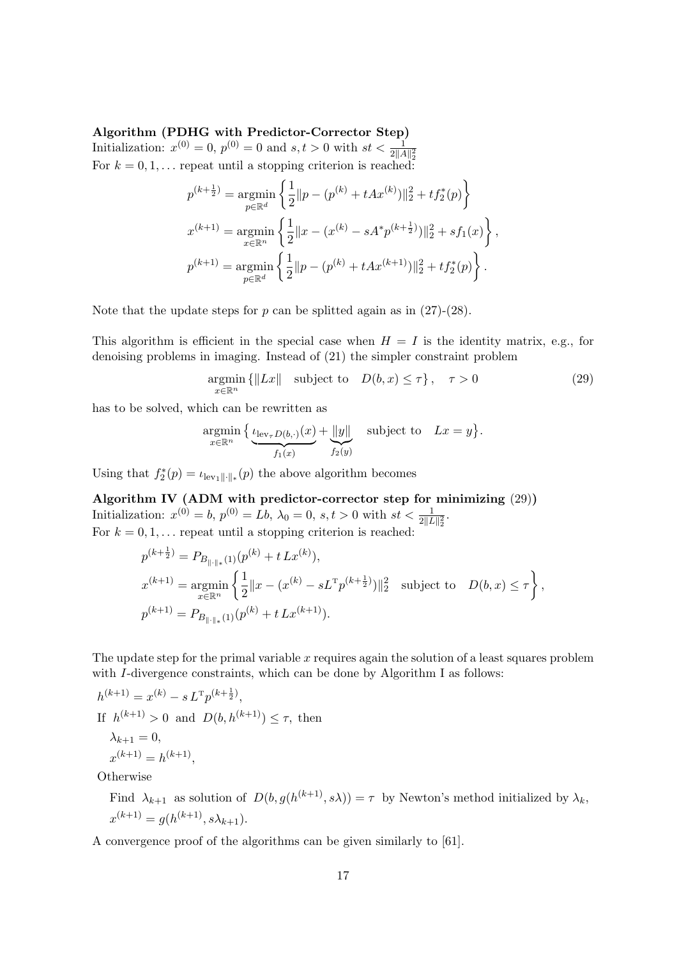#### Algorithm (PDHG with Predictor-Corrector Step)

Initialization:  $x^{(0)} = 0$ ,  $p^{(0)} = 0$  and  $s, t > 0$  with  $st < \frac{1}{2||A||_2^2}$ For  $k = 0, 1, \ldots$  repeat until a stopping criterion is reached:

$$
p^{(k+\frac{1}{2})} = \underset{p \in \mathbb{R}^d}{\text{argmin}} \left\{ \frac{1}{2} ||p - (p^{(k)} + tAx^{(k)})||_2^2 + tf_2^*(p) \right\}
$$
  

$$
x^{(k+1)} = \underset{x \in \mathbb{R}^n}{\text{argmin}} \left\{ \frac{1}{2} ||x - (x^{(k)} - sA^*p^{(k+\frac{1}{2})})||_2^2 + sf_1(x) \right\},
$$
  

$$
p^{(k+1)} = \underset{p \in \mathbb{R}^d}{\text{argmin}} \left\{ \frac{1}{2} ||p - (p^{(k)} + tAx^{(k+1)})||_2^2 + tf_2^*(p) \right\}.
$$

Note that the update steps for  $p$  can be splitted again as in  $(27)-(28)$ .

This algorithm is efficient in the special case when  $H = I$  is the identity matrix, e.g., for denoising problems in imaging. Instead of (21) the simpler constraint problem

$$
\underset{x \in \mathbb{R}^n}{\text{argmin}} \left\{ \|Lx\| \quad \text{subject to} \quad D(b, x) \le \tau \right\}, \quad \tau > 0 \tag{29}
$$

has to be solved, which can be rewritten as

$$
\underset{x \in \mathbb{R}^n}{\text{argmin}} \left\{ \underbrace{\iota_{\text{lev}_{\tau}D(b,\cdot)}(x)}_{f_1(x)} + \underbrace{\|y\|}_{f_2(y)} \quad \text{subject to} \quad Lx = y \right\}.
$$

Using that  $f_2^*(p) = \iota_{\text{lev}_1 \| \cdot \|_*}(p)$  the above algorithm becomes

Algorithm IV (ADM with predictor-corrector step for minimizing (29)) Initialization:  $x^{(0)} = b$ ,  $p^{(0)} = Lb$ ,  $\lambda_0 = 0$ ,  $s, t > 0$  with  $st < \frac{1}{2||L||_2^2}$ . For  $k = 0, 1, \ldots$  repeat until a stopping criterion is reached:

$$
\begin{split} &p^{(k+\frac{1}{2})}=P_{B_{\|\cdot\|_{*}}(1)}(p^{(k)}+t\,Lx^{(k)}),\\ &x^{(k+1)}=\mathop{\rm argmin}_{x\in\mathbb{R}^n}\left\{\frac{1}{2}\|x-(x^{(k)}-sL^{\mathrm{T}}p^{(k+\frac{1}{2})})\|_2^2\quad\text{subject to}\quad D(b,x)\leq\tau\right\},\\ &p^{(k+1)}=P_{B_{\|\cdot\|_{*}}(1)}(p^{(k)}+t\,Lx^{(k+1)}). \end{split}
$$

The update step for the primal variable  $x$  requires again the solution of a least squares problem with I-divergence constraints, which can be done by Algorithm I as follows:

$$
h^{(k+1)} = x^{(k)} - s L^{T} p^{(k+\frac{1}{2})},
$$
  
If  $h^{(k+1)} > 0$  and  $D(b, h^{(k+1)}) \le \tau$ , then  

$$
\lambda_{k+1} = 0,
$$

$$
x^{(k+1)} = h^{(k+1)},
$$

**Otherwise** 

Find  $\lambda_{k+1}$  as solution of  $D(b, g(h^{(k+1)}, s\lambda)) = \tau$  by Newton's method initialized by  $\lambda_k$ ,  $x^{(k+1)} = g(h^{(k+1)}, s\lambda_{k+1}).$ 

A convergence proof of the algorithms can be given similarly to [61].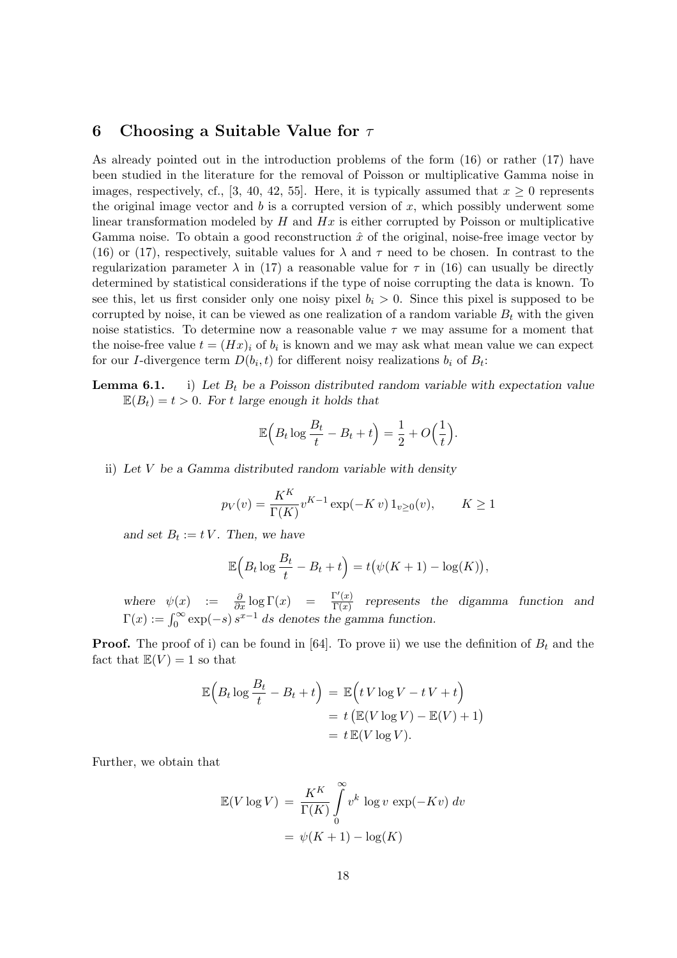## 6 Choosing a Suitable Value for  $\tau$

As already pointed out in the introduction problems of the form (16) or rather (17) have been studied in the literature for the removal of Poisson or multiplicative Gamma noise in images, respectively, cf., [3, 40, 42, 55]. Here, it is typically assumed that  $x \geq 0$  represents the original image vector and  $b$  is a corrupted version of  $x$ , which possibly underwent some linear transformation modeled by  $H$  and  $Hx$  is either corrupted by Poisson or multiplicative Gamma noise. To obtain a good reconstruction  $\hat{x}$  of the original, noise-free image vector by (16) or (17), respectively, suitable values for  $\lambda$  and  $\tau$  need to be chosen. In contrast to the regularization parameter  $\lambda$  in (17) a reasonable value for  $\tau$  in (16) can usually be directly determined by statistical considerations if the type of noise corrupting the data is known. To see this, let us first consider only one noisy pixel  $b<sub>i</sub> > 0$ . Since this pixel is supposed to be corrupted by noise, it can be viewed as one realization of a random variable  $B_t$  with the given noise statistics. To determine now a reasonable value  $\tau$  we may assume for a moment that the noise-free value  $t = (Hx)_i$  of  $b_i$  is known and we may ask what mean value we can expect for our *I*-divergence term  $D(b_i, t)$  for different noisy realizations  $b_i$  of  $B_t$ :

**Lemma 6.1.** i) Let  $B_t$  be a Poisson distributed random variable with expectation value  $\mathbb{E}(B_t) = t > 0$ . For t large enough it holds that

$$
\mathbb{E}\Big(B_t \log \frac{B_t}{t} - B_t + t\Big) = \frac{1}{2} + O\Big(\frac{1}{t}\Big).
$$

ii) Let V be a Gamma distributed random variable with density

$$
p_V(v) = \frac{K^K}{\Gamma(K)} v^{K-1} \exp(-K v) 1_{v \ge 0}(v), \qquad K \ge 1
$$

and set  $B_t := tV$ . Then, we have

$$
\mathbb{E}\Big(B_t \log \frac{B_t}{t} - B_t + t\Big) = t\big(\psi(K+1) - \log(K)\big),\
$$

where  $\psi(x) := \frac{\partial}{\partial x} \log \Gamma(x) = \frac{\Gamma'(x)}{\Gamma(x)}$  $\frac{\Gamma(x)}{\Gamma(x)}$  represents the digamma function and  $\Gamma(x) := \int_0^\infty \exp(-s) s^{x-1} ds$  denotes the gamma function.

**Proof.** The proof of i) can be found in [64]. To prove ii) we use the definition of  $B_t$  and the fact that  $\mathbb{E}(V) = 1$  so that

$$
\mathbb{E}\Big(B_t \log \frac{B_t}{t} - B_t + t\Big) = \mathbb{E}\Big(t \, V \log V - t \, V + t\Big) \n= t \left(\mathbb{E}(V \log V) - \mathbb{E}(V) + 1\right) \n= t \mathbb{E}(V \log V).
$$

Further, we obtain that

$$
\mathbb{E}(V \log V) = \frac{K^K}{\Gamma(K)} \int_0^\infty v^k \log v \exp(-Kv) dv
$$

$$
= \psi(K+1) - \log(K)
$$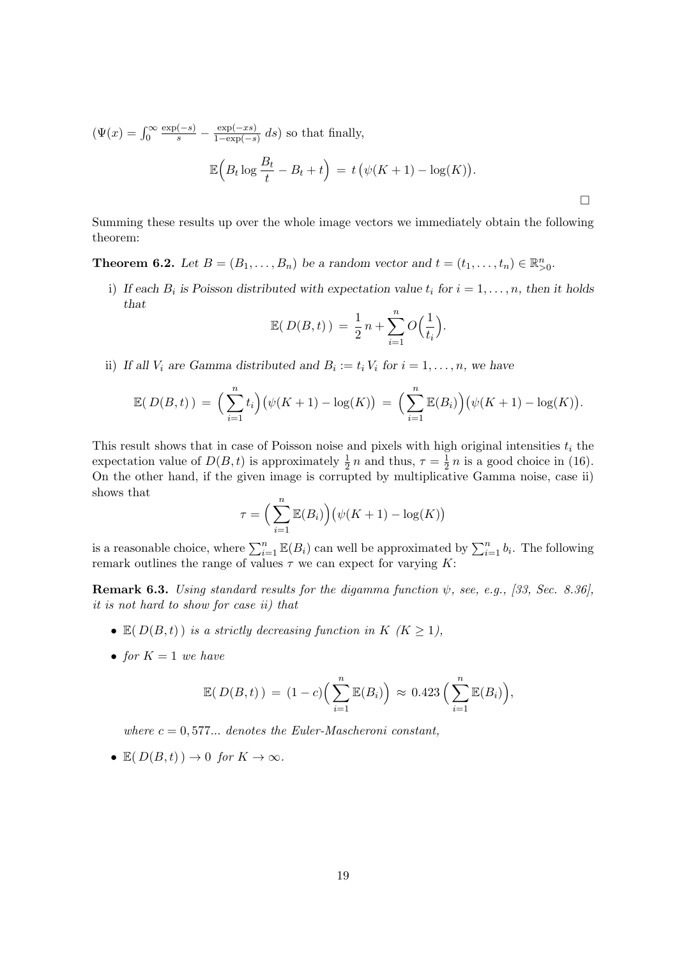$$
(\Psi(x) = \int_0^\infty \frac{\exp(-s)}{s} - \frac{\exp(-xs)}{1 - \exp(-s)} ds) \text{ so that finally,}
$$

$$
\mathbb{E}\left(B_t \log \frac{B_t}{t} - B_t + t\right) = t\left(\psi(K+1) - \log(K)\right).
$$

Summing these results up over the whole image vectors we immediately obtain the following theorem:

 $\Box$ 

**Theorem 6.2.** Let  $B = (B_1, \ldots, B_n)$  be a random vector and  $t = (t_1, \ldots, t_n) \in \mathbb{R}_{\geq 0}^n$ .

i) If each  $B_i$  is Poisson distributed with expectation value  $t_i$  for  $i = 1, \ldots, n$ , then it holds that

$$
\mathbb{E}(D(B,t)) = \frac{1}{2}n + \sum_{i=1}^{n} O\left(\frac{1}{t_i}\right).
$$

ii) If all  $V_i$  are Gamma distributed and  $B_i := t_i V_i$  for  $i = 1, ..., n$ , we have

$$
\mathbb{E}(D(B,t)) = \left(\sum_{i=1}^n t_i\right) \left(\psi(K+1) - \log(K)\right) = \left(\sum_{i=1}^n \mathbb{E}(B_i)\right) \left(\psi(K+1) - \log(K)\right).
$$

This result shows that in case of Poisson noise and pixels with high original intensities  $t_i$  the expectation value of  $D(B, t)$  is approximately  $\frac{1}{2}n$  and thus,  $\tau = \frac{1}{2}$  $\frac{1}{2}n$  is a good choice in (16). On the other hand, if the given image is corrupted by multiplicative Gamma noise, case ii) shows that

$$
\tau = \left(\sum_{i=1}^{n} \mathbb{E}(B_i)\right) \left(\psi(K+1) - \log(K)\right)
$$

is a reasonable choice, where  $\sum_{i=1}^{n} \mathbb{E}(B_i)$  can well be approximated by  $\sum_{i=1}^{n} b_i$ . The following remark outlines the range of values  $\tau$  we can expect for varying K:

**Remark 6.3.** Using standard results for the digamma function  $\psi$ , see, e.g., [33, Sec. 8.36], it is not hard to show for case ii) that

- $\mathbb{E}(D(B,t))$  is a strictly decreasing function in  $K$   $(K \geq 1)$ ,
- for  $K = 1$  we have

$$
\mathbb{E}(D(B,t)) = (1-c)\Big(\sum_{i=1}^n \mathbb{E}(B_i)\Big) \approx 0.423 \Big(\sum_{i=1}^n \mathbb{E}(B_i)\Big),
$$

where  $c = 0.577...$  denotes the Euler-Mascheroni constant,

•  $\mathbb{E}(D(B,t)) \to 0$  for  $K \to \infty$ .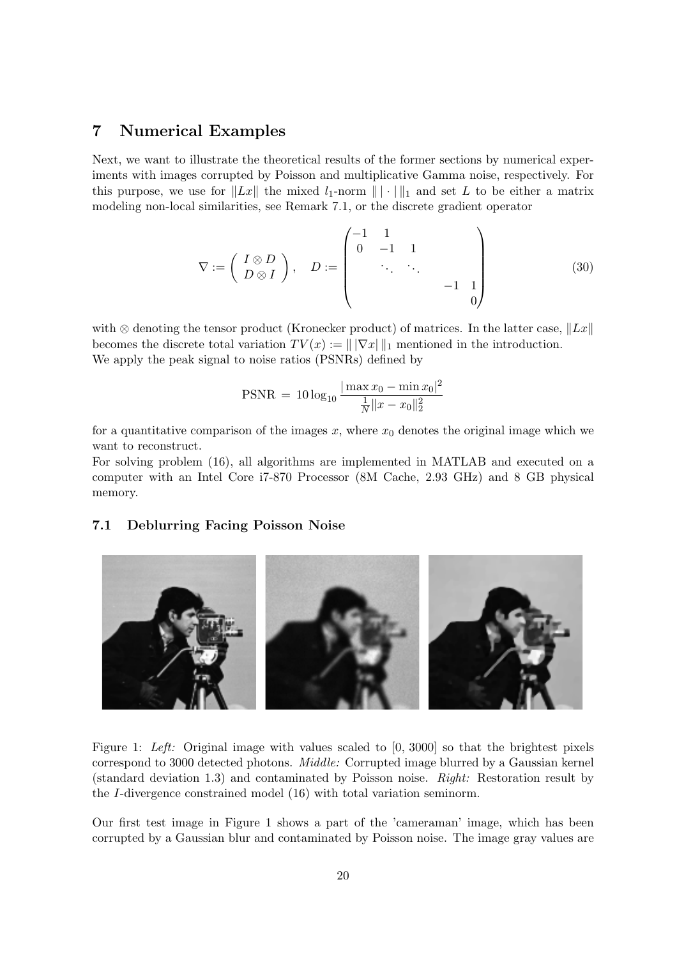## 7 Numerical Examples

Next, we want to illustrate the theoretical results of the former sections by numerical experiments with images corrupted by Poisson and multiplicative Gamma noise, respectively. For this purpose, we use for  $||Lx||$  the mixed  $l_1$ -norm  $|| \cdot ||_1$  and set L to be either a matrix modeling non-local similarities, see Remark 7.1, or the discrete gradient operator

$$
\nabla := \begin{pmatrix} I \otimes D \\ D \otimes I \end{pmatrix}, \quad D := \begin{pmatrix} -1 & 1 & & & \\ 0 & -1 & 1 & & \\ & \ddots & \ddots & & \\ & & -1 & 1 & \\ & & & 0 \end{pmatrix}
$$
 (30)

with ⊗ denoting the tensor product (Kronecker product) of matrices. In the latter case,  $||Lx||$ becomes the discrete total variation  $TV(x) := ||\nabla x||_1$  mentioned in the introduction. We apply the peak signal to noise ratios (PSNRs) defined by

$$
PSNR = 10 \log_{10} \frac{|\max x_0 - \min x_0|^2}{\frac{1}{N} ||x - x_0||_2^2}
$$

for a quantitative comparison of the images  $x$ , where  $x_0$  denotes the original image which we want to reconstruct.

For solving problem (16), all algorithms are implemented in MATLAB and executed on a computer with an Intel Core i7-870 Processor (8M Cache, 2.93 GHz) and 8 GB physical memory.

#### 7.1 Deblurring Facing Poisson Noise



Figure 1: Left: Original image with values scaled to [0, 3000] so that the brightest pixels correspond to 3000 detected photons. Middle: Corrupted image blurred by a Gaussian kernel (standard deviation 1.3) and contaminated by Poisson noise. Right: Restoration result by the I-divergence constrained model (16) with total variation seminorm.

Our first test image in Figure 1 shows a part of the 'cameraman' image, which has been corrupted by a Gaussian blur and contaminated by Poisson noise. The image gray values are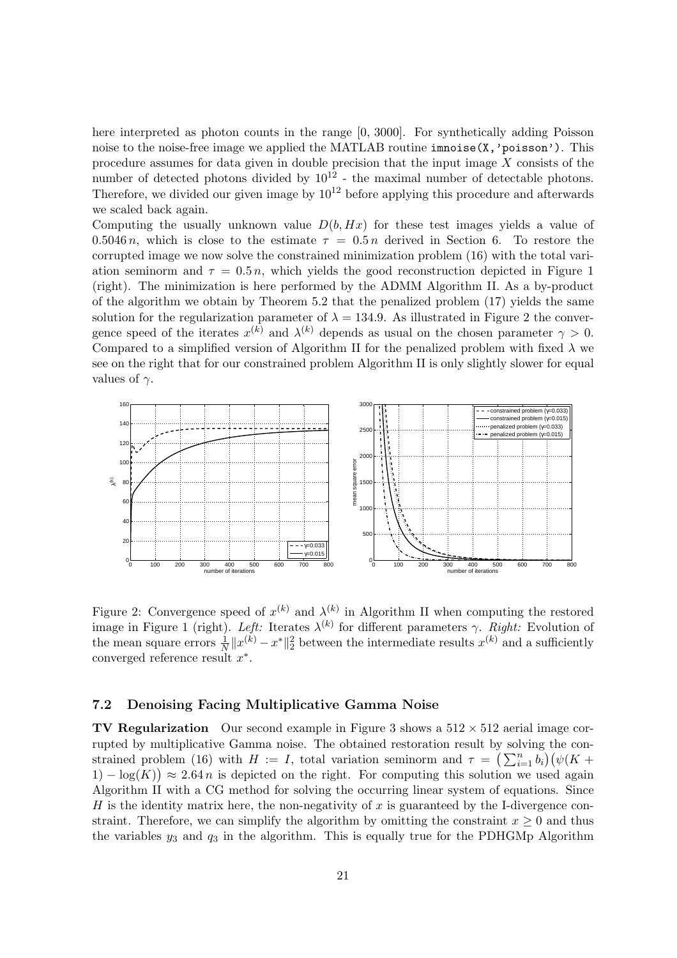here interpreted as photon counts in the range [0, 3000]. For synthetically adding Poisson noise to the noise-free image we applied the MATLAB routine imnoise(X,'poisson'). This procedure assumes for data given in double precision that the input image  $X$  consists of the number of detected photons divided by  $10^{12}$  - the maximal number of detectable photons. Therefore, we divided our given image by  $10^{12}$  before applying this procedure and afterwards we scaled back again.

Computing the usually unknown value  $D(b, Hx)$  for these test images yields a value of 0.5046 n, which is close to the estimate  $\tau = 0.5 n$  derived in Section 6. To restore the corrupted image we now solve the constrained minimization problem (16) with the total variation seminorm and  $\tau = 0.5 n$ , which yields the good reconstruction depicted in Figure 1 (right). The minimization is here performed by the ADMM Algorithm II. As a by-product of the algorithm we obtain by Theorem 5.2 that the penalized problem (17) yields the same solution for the regularization parameter of  $\lambda = 134.9$ . As illustrated in Figure 2 the convergence speed of the iterates  $x^{(k)}$  and  $\lambda^{(k)}$  depends as usual on the chosen parameter  $\gamma > 0$ . Compared to a simplified version of Algorithm II for the penalized problem with fixed  $\lambda$  we see on the right that for our constrained problem Algorithm II is only slightly slower for equal values of  $\gamma$ .



Figure 2: Convergence speed of  $x^{(k)}$  and  $\lambda^{(k)}$  in Algorithm II when computing the restored image in Figure 1 (right). Left: Iterates  $\lambda^{(k)}$  for different parameters  $\gamma$ . Right: Evolution of the mean square errors  $\frac{1}{N}||x^{(k)} - x^*||_2^2$  between the intermediate results  $x^{(k)}$  and a sufficiently converged reference result  $x^*$ .

#### 7.2 Denoising Facing Multiplicative Gamma Noise

**TV Regularization** Our second example in Figure 3 shows a  $512 \times 512$  aerial image corrupted by multiplicative Gamma noise. The obtained restoration result by solving the constrained problem (16) with  $H := I$ , total variation seminorm and  $\tau = \left(\sum_{i=1}^n b_i\right) \left(\psi(K +$  $(1) - \log(K)$ )  $\approx 2.64 n$  is depicted on the right. For computing this solution we used again Algorithm II with a CG method for solving the occurring linear system of equations. Since H is the identity matrix here, the non-negativity of  $x$  is guaranteed by the I-divergence constraint. Therefore, we can simplify the algorithm by omitting the constraint  $x \geq 0$  and thus the variables  $y_3$  and  $q_3$  in the algorithm. This is equally true for the PDHGMp Algorithm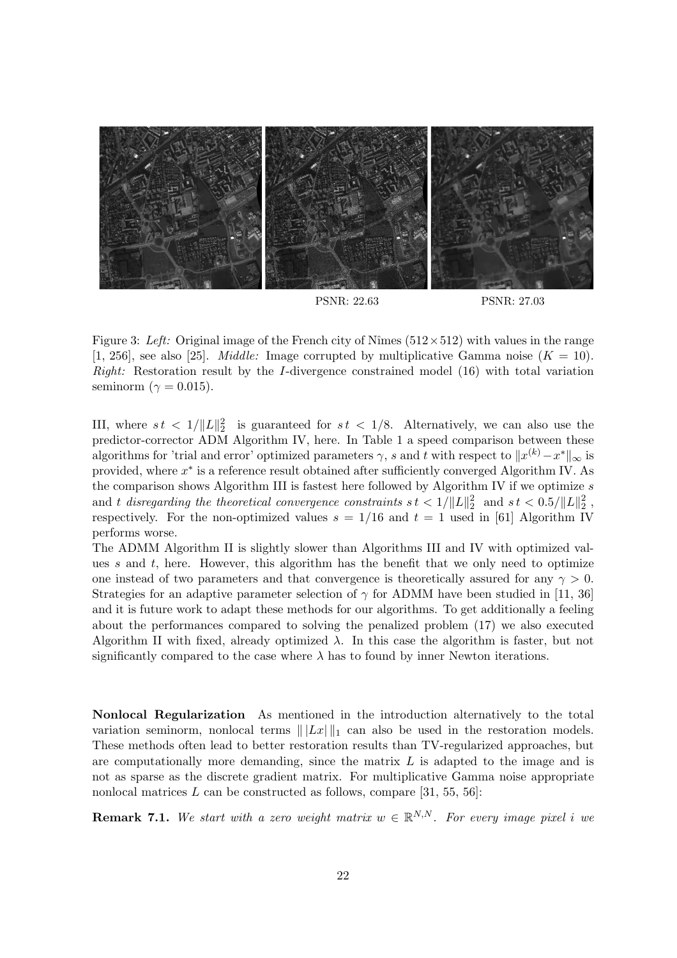

Figure 3: Left: Original image of the French city of Nîmes ( $512 \times 512$ ) with values in the range [1, 256], see also [25]. *Middle:* Image corrupted by multiplicative Gamma noise  $(K = 10)$ . Right: Restoration result by the I-divergence constrained model (16) with total variation seminorm ( $\gamma = 0.015$ ).

III, where  $st < 1/||L||_2^2$  is guaranteed for  $st < 1/8$ . Alternatively, we can also use the predictor-corrector ADM Algorithm IV, here. In Table 1 a speed comparison between these algorithms for 'trial and error' optimized parameters  $\gamma$ , s and t with respect to  $\|x^{(k)} - x^*\|_{\infty}$  is provided, where  $x^*$  is a reference result obtained after sufficiently converged Algorithm IV. As the comparison shows Algorithm III is fastest here followed by Algorithm IV if we optimize s and t disregarding the theoretical convergence constraints  $st < 1/\Vert L\Vert_2^2\ \ \text{and}\ \ st < 0.5/\Vert L\Vert_2^2\ ,$ respectively. For the non-optimized values  $s = 1/16$  and  $t = 1$  used in [61] Algorithm IV performs worse.

The ADMM Algorithm II is slightly slower than Algorithms III and IV with optimized values s and t, here. However, this algorithm has the benefit that we only need to optimize one instead of two parameters and that convergence is theoretically assured for any  $\gamma > 0$ . Strategies for an adaptive parameter selection of  $\gamma$  for ADMM have been studied in [11, 36] and it is future work to adapt these methods for our algorithms. To get additionally a feeling about the performances compared to solving the penalized problem (17) we also executed Algorithm II with fixed, already optimized  $\lambda$ . In this case the algorithm is faster, but not significantly compared to the case where  $\lambda$  has to found by inner Newton iterations.

Nonlocal Regularization As mentioned in the introduction alternatively to the total variation seminorm, nonlocal terms  $||Lx||_1$  can also be used in the restoration models. These methods often lead to better restoration results than TV-regularized approaches, but are computationally more demanding, since the matrix  $L$  is adapted to the image and is not as sparse as the discrete gradient matrix. For multiplicative Gamma noise appropriate nonlocal matrices  $L$  can be constructed as follows, compare [31, 55, 56]:

**Remark 7.1.** We start with a zero weight matrix  $w \in \mathbb{R}^{N,N}$ . For every image pixel i we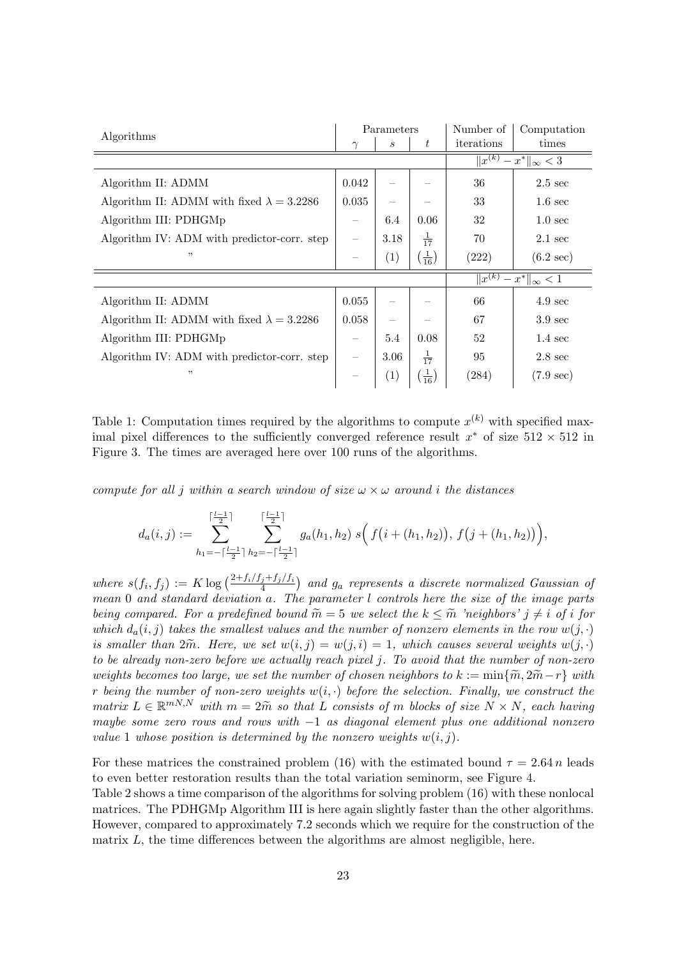| Algorithms                                       |                                                    | Parameters        |                             | Number of                                  | Computation         |
|--------------------------------------------------|----------------------------------------------------|-------------------|-----------------------------|--------------------------------------------|---------------------|
|                                                  | $\gamma$                                           | $\boldsymbol{s}$  | ŧ                           | iterations                                 | times               |
|                                                  |                                                    |                   |                             | $\sqrt{x^{(k)}}$<br>$-x^*$    $\infty$ < 3 |                     |
| Algorithm II: ADMM                               | 0.042                                              |                   |                             | 36                                         | $2.5 \text{ sec}$   |
| Algorithm II: ADMM with fixed $\lambda = 3.2286$ | 0.035                                              |                   |                             | 33                                         | $1.6 \text{ sec}$   |
| Algorithm III: PDHGMp                            |                                                    | 6.4               | 0.06                        | 32                                         | $1.0 \text{ sec}$   |
| Algorithm IV: ADM with predictor-corr. step      |                                                    | 3.18              | $\frac{1}{17}$              | 70                                         | $2.1 \text{ sec}$   |
| ,,                                               |                                                    | (1)               | $\left(\frac{1}{16}\right)$ | (222)                                      | $(6.2 \text{ sec})$ |
|                                                  | $\overline{\ x^{(k)}\ }$<br>$-x^*$    $\infty$ < 1 |                   |                             |                                            |                     |
| Algorithm II: ADMM                               | 0.055                                              |                   |                             | 66                                         | $4.9 \text{ sec}$   |
| Algorithm II: ADMM with fixed $\lambda = 3.2286$ | 0.058                                              |                   |                             | 67                                         | $3.9 \text{ sec}$   |
| Algorithm III: PDHGMp                            |                                                    | 5.4               | 0.08                        | 52                                         | $1.4 \text{ sec}$   |
| Algorithm IV: ADM with predictor-corr. step      |                                                    | 3.06              | $\frac{1}{17}$              | 95                                         | $2.8 \text{ sec}$   |
| ,,                                               |                                                    | $\left( 1\right)$ | $\left(\frac{1}{16}\right)$ | (284)                                      | $(7.9 \text{ sec})$ |

Table 1: Computation times required by the algorithms to compute  $x^{(k)}$  with specified maximal pixel differences to the sufficiently converged reference result  $x^*$  of size  $512 \times 512$  in Figure 3. The times are averaged here over 100 runs of the algorithms.

compute for all j within a search window of size  $\omega \times \omega$  around i the distances

$$
d_a(i,j) := \sum_{h_1 = -\lceil \frac{l-1}{2} \rceil}^{\lceil \frac{l-1}{2} \rceil} \sum_{h_2 = -\lceil \frac{l-1}{2} \rceil}^{\lceil \frac{l-1}{2} \rceil} g_a(h_1, h_2) \ s \Big( f(i + (h_1, h_2)), \ f(j + (h_1, h_2)) \Big),
$$

where  $s(f_i, f_j) := K \log \left( \frac{2 + f_i/f_j + f_j/f_i}{4} \right)$  and  $g_a$  represents a discrete normalized Gaussian of mean 0 and standard deviation a. The parameter l controls here the size of the image parts being compared. For a predefined bound  $\widetilde{m} = 5$  we select the  $k \leq \widetilde{m}$  'neighbors'  $j \neq i$  of i for which  $d_a(i, j)$  takes the smallest values and the number of nonzero elements in the row  $w(j, \cdot)$ is smaller than  $2\tilde{m}$ . Here, we set  $w(i, j) = w(j, i) = 1$ , which causes several weights  $w(j, \cdot)$ to be already non-zero before we actually reach pixel j. To avoid that the number of non-zero weights becomes too large, we set the number of chosen neighbors to  $k := \min\{\widetilde{m}, 2\widetilde{m} - r\}$  with r being the number of non-zero weights  $w(i, \cdot)$  before the selection. Finally, we construct the matrix  $L \in \mathbb{R}^{mN,N}$  with  $m = 2\tilde{m}$  so that L consists of m blocks of size  $N \times N$ , each having maybe some zero rows and rows with −1 as diagonal element plus one additional nonzero value 1 whose position is determined by the nonzero weights  $w(i, j)$ .

For these matrices the constrained problem (16) with the estimated bound  $\tau = 2.64 n$  leads to even better restoration results than the total variation seminorm, see Figure 4.

Table 2 shows a time comparison of the algorithms for solving problem (16) with these nonlocal matrices. The PDHGMp Algorithm III is here again slightly faster than the other algorithms. However, compared to approximately 7.2 seconds which we require for the construction of the matrix  $L$ , the time differences between the algorithms are almost negligible, here.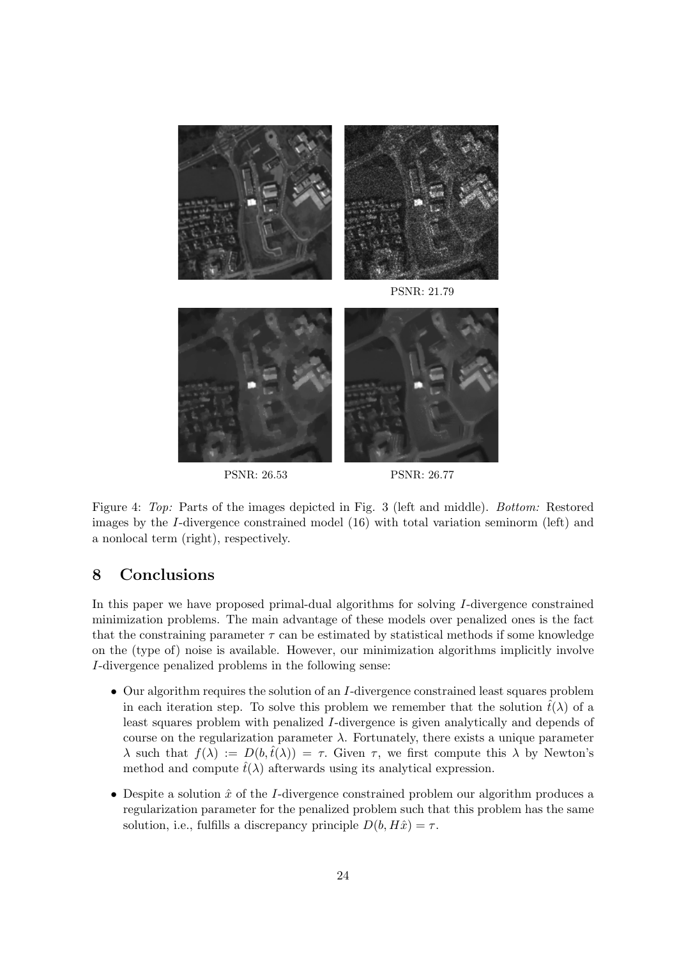

Figure 4: Top: Parts of the images depicted in Fig. 3 (left and middle). Bottom: Restored images by the I-divergence constrained model (16) with total variation seminorm (left) and a nonlocal term (right), respectively.

## 8 Conclusions

In this paper we have proposed primal-dual algorithms for solving I-divergence constrained minimization problems. The main advantage of these models over penalized ones is the fact that the constraining parameter  $\tau$  can be estimated by statistical methods if some knowledge on the (type of) noise is available. However, our minimization algorithms implicitly involve I-divergence penalized problems in the following sense:

- Our algorithm requires the solution of an *I*-divergence constrained least squares problem in each iteration step. To solve this problem we remember that the solution  $\hat{t}(\lambda)$  of a least squares problem with penalized I-divergence is given analytically and depends of course on the regularization parameter  $\lambda$ . Fortunately, there exists a unique parameter  $\lambda$  such that  $f(\lambda) := D(b, \hat{t}(\lambda)) = \tau$ . Given  $\tau$ , we first compute this  $\lambda$  by Newton's method and compute  $\hat{t}(\lambda)$  afterwards using its analytical expression.
- Despite a solution  $\hat{x}$  of the I-divergence constrained problem our algorithm produces a regularization parameter for the penalized problem such that this problem has the same solution, i.e., fulfills a discrepancy principle  $D(b, H\hat{x}) = \tau$ .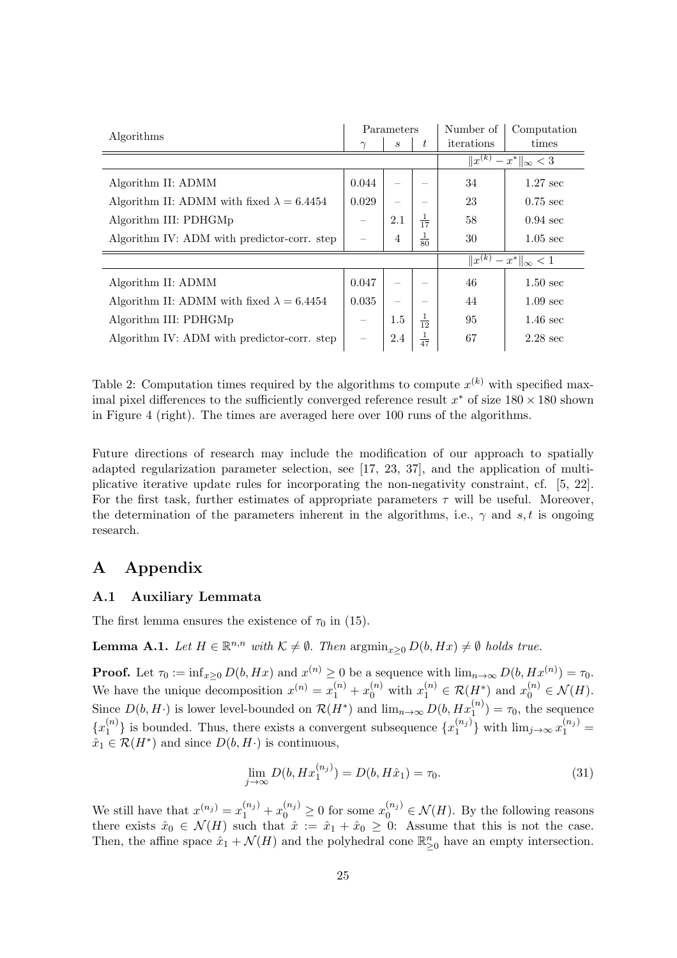| Algorithms                                       |          | Parameters     |                | Number of                                          | Computation        |  |
|--------------------------------------------------|----------|----------------|----------------|----------------------------------------------------|--------------------|--|
|                                                  | $\gamma$ | S              | t              | iterations                                         | times              |  |
|                                                  |          |                |                | $\overline{\ x^{(k)}\ }$<br>$-x^*$    $\infty$ < 3 |                    |  |
| Algorithm II: ADMM                               | 0.044    |                |                | 34                                                 | $1.27 \text{ sec}$ |  |
| Algorithm II: ADMM with fixed $\lambda = 6.4454$ | 0.029    |                |                | 23                                                 | $0.75 \text{ sec}$ |  |
| Algorithm III: PDHGMp                            |          | 2.1            | $\frac{1}{17}$ | 58                                                 | $0.94 \text{ sec}$ |  |
| Algorithm IV: ADM with predictor-corr. step      |          | $\overline{4}$ | $\frac{1}{80}$ | 30                                                 | $1.05 \text{ sec}$ |  |
|                                                  |          |                |                | $\overline{\ x^{(k)}\ }$<br>$-x^*$    $\infty$ < 1 |                    |  |
| Algorithm II: ADMM                               | 0.047    |                |                | 46                                                 | $1.50 \text{ sec}$ |  |
| Algorithm II: ADMM with fixed $\lambda = 6.4454$ | 0.035    |                |                | 44                                                 | $1.09 \text{ sec}$ |  |
| Algorithm III: PDHGMp                            |          | 1.5            | $\frac{1}{12}$ | 95                                                 | $1.46 \text{ sec}$ |  |
| Algorithm IV: ADM with predictor-corr. step      |          | 2.4            | $rac{1}{47}$   | 67                                                 | $2.28 \text{ sec}$ |  |

Table 2: Computation times required by the algorithms to compute  $x^{(k)}$  with specified maximal pixel differences to the sufficiently converged reference result  $x^*$  of size  $180 \times 180$  shown in Figure 4 (right). The times are averaged here over 100 runs of the algorithms.

Future directions of research may include the modification of our approach to spatially adapted regularization parameter selection, see [17, 23, 37], and the application of multiplicative iterative update rules for incorporating the non-negativity constraint, cf. [5, 22]. For the first task, further estimates of appropriate parameters  $\tau$  will be useful. Moreover, the determination of the parameters inherent in the algorithms, i.e.,  $\gamma$  and s, t is ongoing research.

## A Appendix

#### A.1 Auxiliary Lemmata

The first lemma ensures the existence of  $\tau_0$  in (15).

**Lemma A.1.** Let  $H \in \mathbb{R}^{n,n}$  with  $K \neq \emptyset$ . Then  $\operatorname{argmin}_{x \geq 0} D(b, Hx) \neq \emptyset$  holds true.

**Proof.** Let  $\tau_0 := \inf_{x \geq 0} D(b, Hx)$  and  $x^{(n)} \geq 0$  be a sequence with  $\lim_{n \to \infty} D(b, Hx^{(n)}) = \tau_0$ . We have the unique decomposition  $x^{(n)} = x_1^{(n)} + x_0^{(n)}$  with  $x_1^{(n)} \in \mathcal{R}(H^*)$  and  $x_0^{(n)} \in \mathcal{N}(H)$ . Since  $D(b, H)$  is lower level-bounded on  $\mathcal{R}(H^*)$  and  $\lim_{n\to\infty} D(b, Hx_1^{(n)}) = \tau_0$ , the sequence  $\{x_1^{(n)}\}$  $\binom{n}{1}$  is bounded. Thus, there exists a convergent subsequence  $\{x_1^{(n_j)}\}$  $\binom{n_j}{1}$  with  $\lim_{j\to\infty} x_1^{(n_j)} =$  $\hat{x}_1 \in \mathcal{R}(H^*)$  and since  $D(b, H^.)$  is continuous,

$$
\lim_{j \to \infty} D(b, H x_1^{(n_j)}) = D(b, H\hat{x}_1) = \tau_0.
$$
\n(31)

We still have that  $x^{(n_j)} = x_1^{(n_j)} + x_0^{(n_j)} \ge 0$  for some  $x_0^{(n_j)} \in \mathcal{N}(H)$ . By the following reasons there exists  $\hat{x}_0 \in \mathcal{N}(H)$  such that  $\hat{x} := \hat{x}_1 + \hat{x}_0 \geq 0$ : Assume that this is not the case. Then, the affine space  $\hat{x}_1 + \mathcal{N}(H)$  and the polyhedral cone  $\mathbb{R}^n_{\geq 0}$  have an empty intersection.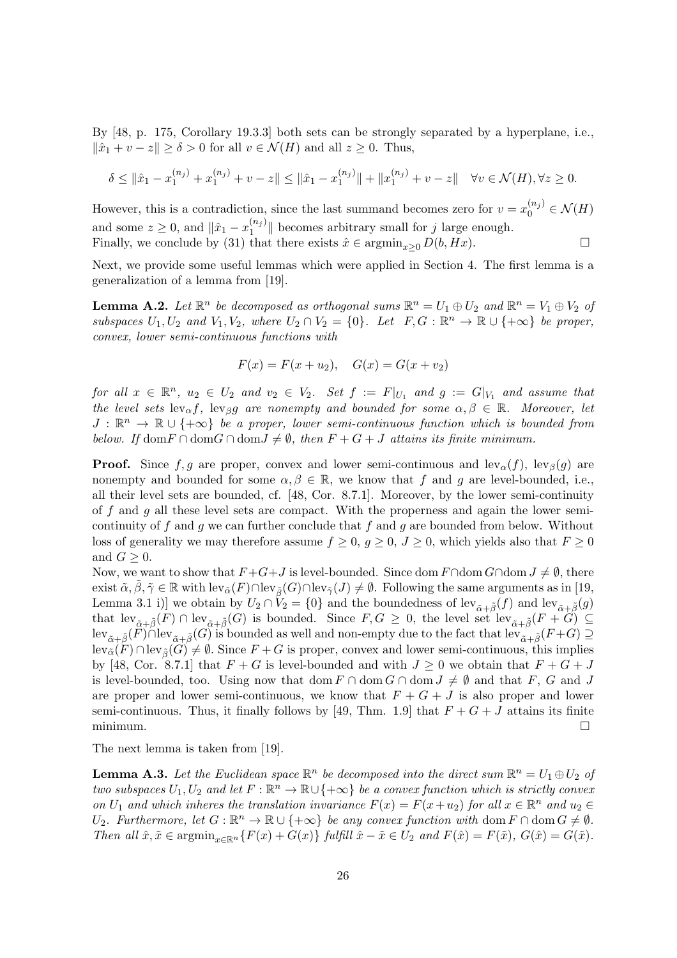By [48, p. 175, Corollary 19.3.3] both sets can be strongly separated by a hyperplane, i.e.,  $\|\hat{x}_1 + v - z\| \ge \delta > 0$  for all  $v \in \mathcal{N}(H)$  and all  $z \ge 0$ . Thus,

$$
\delta \leq \|\hat{x}_1 - x_1^{(n_j)} + x_1^{(n_j)} + v - z\| \leq \|\hat{x}_1 - x_1^{(n_j)}\| + \|x_1^{(n_j)} + v - z\| \quad \forall v \in \mathcal{N}(H), \forall z \geq 0.
$$

However, this is a contradiction, since the last summand becomes zero for  $v = x_0^{(n_j)} \in \mathcal{N}(H)$ and some  $z \geq 0$ , and  $\|\hat{x}_1 - x_1^{(n_j)}\|$  $\| \mathbf{a}^{(h_j)} \|$  becomes arbitrary small for j large enough. Finally, we conclude by (31) that there exists  $\hat{x} \in \operatorname{argmin}_{x>0} D(b, Hx)$ .

Next, we provide some useful lemmas which were applied in Section 4. The first lemma is a generalization of a lemma from [19].

**Lemma A.2.** Let  $\mathbb{R}^n$  be decomposed as orthogonal sums  $\mathbb{R}^n = U_1 \oplus U_2$  and  $\mathbb{R}^n = V_1 \oplus V_2$  of subspaces  $U_1, U_2$  and  $V_1, V_2$ , where  $U_2 \cap V_2 = \{0\}$ . Let  $F, G : \mathbb{R}^n \to \mathbb{R} \cup \{+\infty\}$  be proper, convex, lower semi-continuous functions with

$$
F(x) = F(x + u_2), \quad G(x) = G(x + v_2)
$$

for all  $x \in \mathbb{R}^n$ ,  $u_2 \in U_2$  and  $v_2 \in V_2$ . Set  $f := F|_{U_1}$  and  $g := G|_{V_1}$  and assume that the level sets  $\text{lev}_\alpha f$ ,  $\text{lev}_\beta g$  are nonempty and bounded for some  $\alpha, \beta \in \mathbb{R}$ . Moreover, let  $J : \mathbb{R}^n \to \mathbb{R} \cup \{+\infty\}$  be a proper, lower semi-continuous function which is bounded from below. If  $\text{dom } F \cap \text{dom } G \cap \text{dom } J \neq \emptyset$ , then  $F + G + J$  attains its finite minimum.

**Proof.** Since f, g are proper, convex and lower semi-continuous and lev<sub> $\alpha$ </sub>(f), lev<sub> $\beta$ </sub>(g) are nonempty and bounded for some  $\alpha, \beta \in \mathbb{R}$ , we know that f and g are level-bounded, i.e., all their level sets are bounded, cf. [48, Cor. 8.7.1]. Moreover, by the lower semi-continuity of f and g all these level sets are compact. With the properness and again the lower semicontinuity of f and q we can further conclude that f and q are bounded from below. Without loss of generality we may therefore assume  $f \geq 0$ ,  $g \geq 0$ ,  $J \geq 0$ , which yields also that  $F \geq 0$ and  $G \geq 0$ .

Now, we want to show that  $F+G+J$  is level-bounded. Since dom  $F\cap$ dom  $G\cap$ dom  $J\neq\emptyset$ , there exist  $\tilde{\alpha}, \beta, \tilde{\gamma} \in \mathbb{R}$  with  $lev_{\tilde{\alpha}}(F) \cap lev_{\tilde{\beta}}(G) \cap lev_{\tilde{\gamma}}(J) \neq \emptyset$ . Following the same arguments as in [19, Lemma 3.1 i)] we obtain by  $U_2 \cap V_2 = \{0\}$  and the boundedness of lev $\sigma_{\tilde{r}}(\tilde{f})$  and lev $\sigma_{\tilde{r}}(\tilde{g})$ that  $\text{lev}_{\tilde{\alpha}+\tilde{\beta}}(F) \cap \text{lev}_{\tilde{\alpha}+\tilde{\beta}}(G)$  is bounded. Since  $F, G \geq 0$ , the level set  $\text{lev}_{\tilde{\alpha}+\tilde{\beta}}(F+G) \subseteq$  $\text{lev}_{\tilde{\alpha}+\tilde{\beta}}(F)\cap \text{lev}_{\tilde{\alpha}+\tilde{\beta}}(G)$  is bounded as well and non-empty due to the fact that  $\text{lev}_{\tilde{\alpha}+\tilde{\beta}}(F+G) \supseteq$  $\operatorname{lev}_{\tilde{\alpha}}(F) \cap \operatorname{lev}_{\tilde{\beta}}(G) \neq \emptyset$ . Since  $F + G$  is proper, convex and lower semi-continuous, this implies by [48, Cor. 8.7.1] that  $F + G$  is level-bounded and with  $J \geq 0$  we obtain that  $F + G + J$ is level-bounded, too. Using now that dom  $F \cap$  dom  $G \cap$  dom  $J \neq \emptyset$  and that F, G and J are proper and lower semi-continuous, we know that  $F + G + J$  is also proper and lower semi-continuous. Thus, it finally follows by [49, Thm. 1.9] that  $F + G + J$  attains its finite  $\Box$ minimum.

The next lemma is taken from [19].

**Lemma A.3.** Let the Euclidean space  $\mathbb{R}^n$  be decomposed into the direct sum  $\mathbb{R}^n = U_1 \oplus U_2$  of two subspaces  $U_1, U_2$  and let  $F : \mathbb{R}^n \to \mathbb{R} \cup \{+\infty\}$  be a convex function which is strictly convex on  $U_1$  and which inheres the translation invariance  $F(x) = F(x+u_2)$  for all  $x \in \mathbb{R}^n$  and  $u_2 \in$ U<sub>2</sub>. Furthermore, let  $G : \mathbb{R}^n \to \mathbb{R} \cup \{+\infty\}$  be any convex function with dom  $F \cap \text{dom } G \neq \emptyset$ . Then all  $\hat{x}, \tilde{x} \in \operatorname{argmin}_{x \in \mathbb{R}^n} \{F(x) + G(x)\}$  fulfill  $\hat{x} - \tilde{x} \in U_2$  and  $F(\hat{x}) = F(\tilde{x}), G(\hat{x}) = G(\tilde{x}).$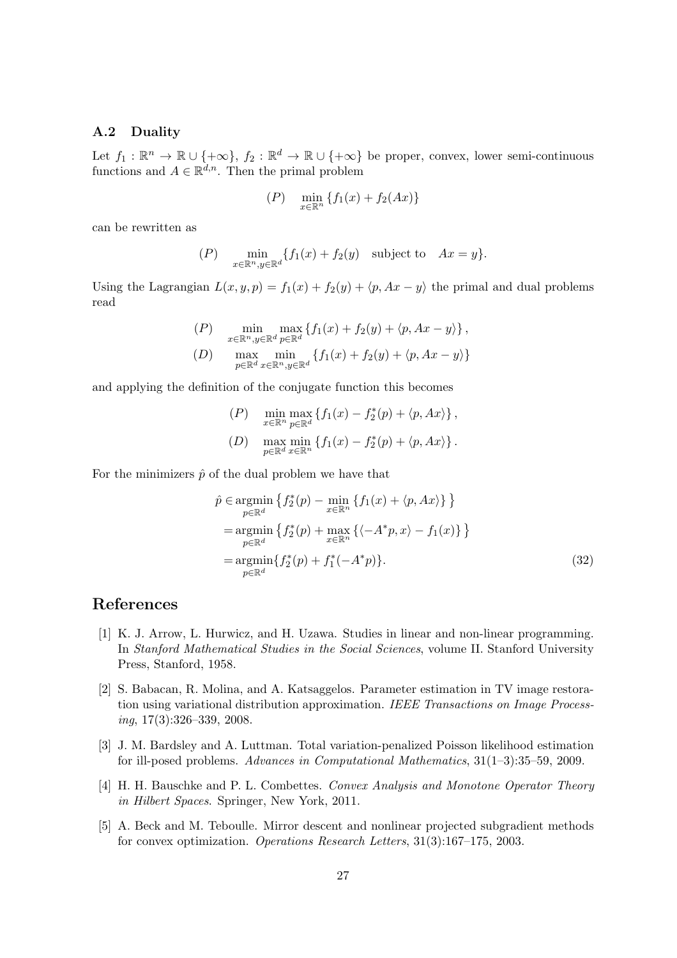#### A.2 Duality

Let  $f_1: \mathbb{R}^n \to \mathbb{R} \cup \{+\infty\}, f_2: \mathbb{R}^d \to \mathbb{R} \cup \{+\infty\}$  be proper, convex, lower semi-continuous functions and  $A \in \mathbb{R}^{d,n}$ . Then the primal problem

$$
(P) \quad \min_{x \in \mathbb{R}^n} \{ f_1(x) + f_2(Ax) \}
$$

can be rewritten as

$$
(P) \quad \min_{x \in \mathbb{R}^n, y \in \mathbb{R}^d} \{ f_1(x) + f_2(y) \quad \text{subject to} \quad Ax = y \}.
$$

Using the Lagrangian  $L(x, y, p) = f_1(x) + f_2(y) + \langle p, Ax - y \rangle$  the primal and dual problems read

$$
(P) \quad \min_{x \in \mathbb{R}^n, y \in \mathbb{R}^d} \max_{p \in \mathbb{R}^d} \{ f_1(x) + f_2(y) + \langle p, Ax - y \rangle \},
$$
  
\n
$$
(D) \quad \max_{p \in \mathbb{R}^d} \min_{x \in \mathbb{R}^n, y \in \mathbb{R}^d} \{ f_1(x) + f_2(y) + \langle p, Ax - y \rangle \}
$$

and applying the definition of the conjugate function this becomes

$$
(P) \quad \min_{x \in \mathbb{R}^n} \max_{p \in \mathbb{R}^d} \left\{ f_1(x) - f_2^*(p) + \langle p, Ax \rangle \right\},
$$
  
\n
$$
(D) \quad \max_{p \in \mathbb{R}^d} \min_{x \in \mathbb{R}^n} \left\{ f_1(x) - f_2^*(p) + \langle p, Ax \rangle \right\}.
$$

For the minimizers  $\hat{p}$  of the dual problem we have that

$$
\hat{p} \in \underset{p \in \mathbb{R}^d}{\text{argmin}} \left\{ f_2^*(p) - \underset{x \in \mathbb{R}^n}{\text{min}} \left\{ f_1(x) + \langle p, Ax \rangle \right\} \right\} \n= \underset{p \in \mathbb{R}^d}{\text{argmin}} \left\{ f_2^*(p) + \underset{x \in \mathbb{R}^n}{\text{max}} \left\{ \langle -A^*p, x \rangle - f_1(x) \right\} \right\} \n= \underset{p \in \mathbb{R}^d}{\text{argmin}} \left\{ f_2^*(p) + f_1^*(-A^*p) \right\}. \tag{32}
$$

## References

- [1] K. J. Arrow, L. Hurwicz, and H. Uzawa. Studies in linear and non-linear programming. In Stanford Mathematical Studies in the Social Sciences, volume II. Stanford University Press, Stanford, 1958.
- [2] S. Babacan, R. Molina, and A. Katsaggelos. Parameter estimation in TV image restoration using variational distribution approximation. IEEE Transactions on Image Process $ing, 17(3):326-339, 2008.$
- [3] J. M. Bardsley and A. Luttman. Total variation-penalized Poisson likelihood estimation for ill-posed problems. Advances in Computational Mathematics, 31(1–3):35–59, 2009.
- [4] H. H. Bauschke and P. L. Combettes. Convex Analysis and Monotone Operator Theory in Hilbert Spaces. Springer, New York, 2011.
- [5] A. Beck and M. Teboulle. Mirror descent and nonlinear projected subgradient methods for convex optimization. Operations Research Letters, 31(3):167–175, 2003.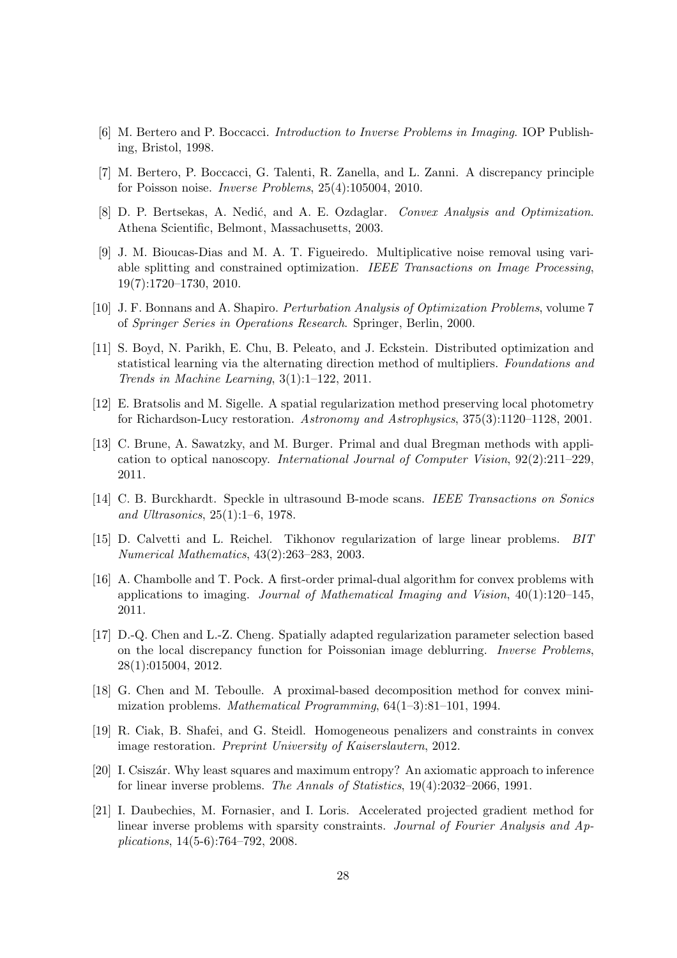- [6] M. Bertero and P. Boccacci. Introduction to Inverse Problems in Imaging. IOP Publishing, Bristol, 1998.
- [7] M. Bertero, P. Boccacci, G. Talenti, R. Zanella, and L. Zanni. A discrepancy principle for Poisson noise. Inverse Problems, 25(4):105004, 2010.
- [8] D. P. Bertsekas, A. Nedić, and A. E. Ozdaglar. Convex Analysis and Optimization. Athena Scientific, Belmont, Massachusetts, 2003.
- [9] J. M. Bioucas-Dias and M. A. T. Figueiredo. Multiplicative noise removal using variable splitting and constrained optimization. IEEE Transactions on Image Processing, 19(7):1720–1730, 2010.
- [10] J. F. Bonnans and A. Shapiro. Perturbation Analysis of Optimization Problems, volume 7 of Springer Series in Operations Research. Springer, Berlin, 2000.
- [11] S. Boyd, N. Parikh, E. Chu, B. Peleato, and J. Eckstein. Distributed optimization and statistical learning via the alternating direction method of multipliers. Foundations and Trends in Machine Learning, 3(1):1–122, 2011.
- [12] E. Bratsolis and M. Sigelle. A spatial regularization method preserving local photometry for Richardson-Lucy restoration. Astronomy and Astrophysics, 375(3):1120–1128, 2001.
- [13] C. Brune, A. Sawatzky, and M. Burger. Primal and dual Bregman methods with application to optical nanoscopy. International Journal of Computer Vision, 92(2):211–229, 2011.
- [14] C. B. Burckhardt. Speckle in ultrasound B-mode scans. IEEE Transactions on Sonics and Ultrasonics, 25(1):1–6, 1978.
- [15] D. Calvetti and L. Reichel. Tikhonov regularization of large linear problems. BIT Numerical Mathematics, 43(2):263–283, 2003.
- [16] A. Chambolle and T. Pock. A first-order primal-dual algorithm for convex problems with applications to imaging. Journal of Mathematical Imaging and Vision,  $40(1):120-145$ , 2011.
- [17] D.-Q. Chen and L.-Z. Cheng. Spatially adapted regularization parameter selection based on the local discrepancy function for Poissonian image deblurring. Inverse Problems, 28(1):015004, 2012.
- [18] G. Chen and M. Teboulle. A proximal-based decomposition method for convex minimization problems. Mathematical Programming, 64(1–3):81–101, 1994.
- [19] R. Ciak, B. Shafei, and G. Steidl. Homogeneous penalizers and constraints in convex image restoration. Preprint University of Kaiserslautern, 2012.
- [20] I. Csiszár. Why least squares and maximum entropy? An axiomatic approach to inference for linear inverse problems. The Annals of Statistics, 19(4):2032–2066, 1991.
- [21] I. Daubechies, M. Fornasier, and I. Loris. Accelerated projected gradient method for linear inverse problems with sparsity constraints. Journal of Fourier Analysis and Applications, 14(5-6):764–792, 2008.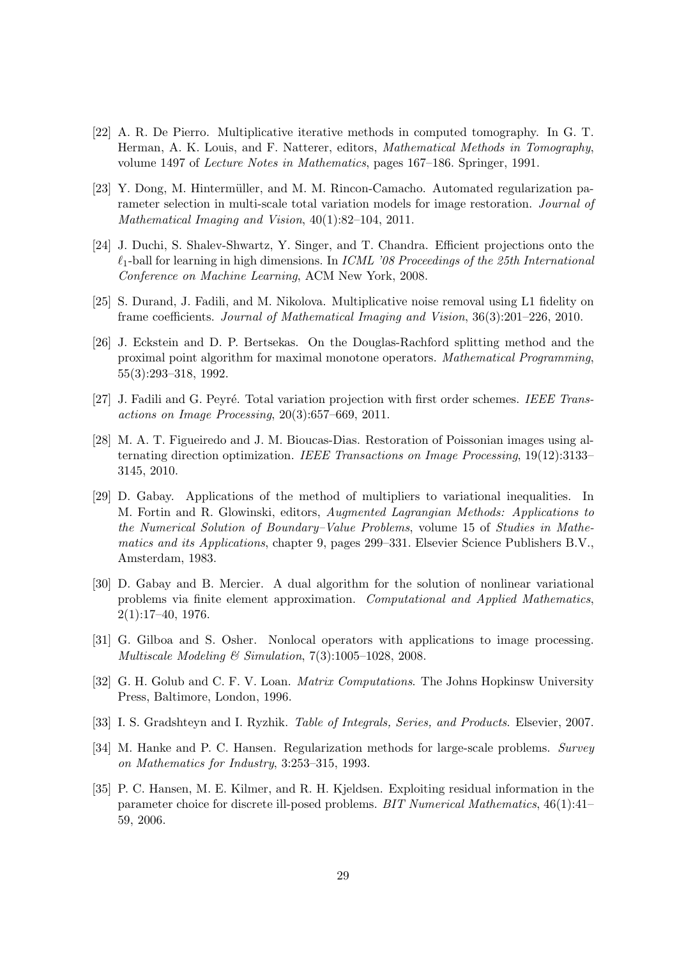- [22] A. R. De Pierro. Multiplicative iterative methods in computed tomography. In G. T. Herman, A. K. Louis, and F. Natterer, editors, Mathematical Methods in Tomography, volume 1497 of Lecture Notes in Mathematics, pages 167–186. Springer, 1991.
- [23] Y. Dong, M. Hintermüller, and M. M. Rincon-Camacho. Automated regularization parameter selection in multi-scale total variation models for image restoration. Journal of Mathematical Imaging and Vision, 40(1):82–104, 2011.
- [24] J. Duchi, S. Shalev-Shwartz, Y. Singer, and T. Chandra. Efficient projections onto the  $\ell_1$ -ball for learning in high dimensions. In *ICML '08 Proceedings of the 25th International* Conference on Machine Learning, ACM New York, 2008.
- [25] S. Durand, J. Fadili, and M. Nikolova. Multiplicative noise removal using L1 fidelity on frame coefficients. Journal of Mathematical Imaging and Vision, 36(3):201–226, 2010.
- [26] J. Eckstein and D. P. Bertsekas. On the Douglas-Rachford splitting method and the proximal point algorithm for maximal monotone operators. Mathematical Programming, 55(3):293–318, 1992.
- [27] J. Fadili and G. Peyré. Total variation projection with first order schemes. IEEE Transactions on Image Processing,  $20(3):657-669$ ,  $2011$ .
- [28] M. A. T. Figueiredo and J. M. Bioucas-Dias. Restoration of Poissonian images using alternating direction optimization. IEEE Transactions on Image Processing, 19(12):3133– 3145, 2010.
- [29] D. Gabay. Applications of the method of multipliers to variational inequalities. In M. Fortin and R. Glowinski, editors, Augmented Lagrangian Methods: Applications to the Numerical Solution of Boundary–Value Problems, volume 15 of Studies in Mathematics and its Applications, chapter 9, pages 299–331. Elsevier Science Publishers B.V., Amsterdam, 1983.
- [30] D. Gabay and B. Mercier. A dual algorithm for the solution of nonlinear variational problems via finite element approximation. Computational and Applied Mathematics, 2(1):17–40, 1976.
- [31] G. Gilboa and S. Osher. Nonlocal operators with applications to image processing. Multiscale Modeling  $\mathcal B$  Simulation, 7(3):1005-1028, 2008.
- [32] G. H. Golub and C. F. V. Loan. *Matrix Computations*. The Johns Hopkinsw University Press, Baltimore, London, 1996.
- [33] I. S. Gradshteyn and I. Ryzhik. Table of Integrals, Series, and Products. Elsevier, 2007.
- [34] M. Hanke and P. C. Hansen. Regularization methods for large-scale problems. Survey on Mathematics for Industry, 3:253–315, 1993.
- [35] P. C. Hansen, M. E. Kilmer, and R. H. Kjeldsen. Exploiting residual information in the parameter choice for discrete ill-posed problems. BIT Numerical Mathematics, 46(1):41– 59, 2006.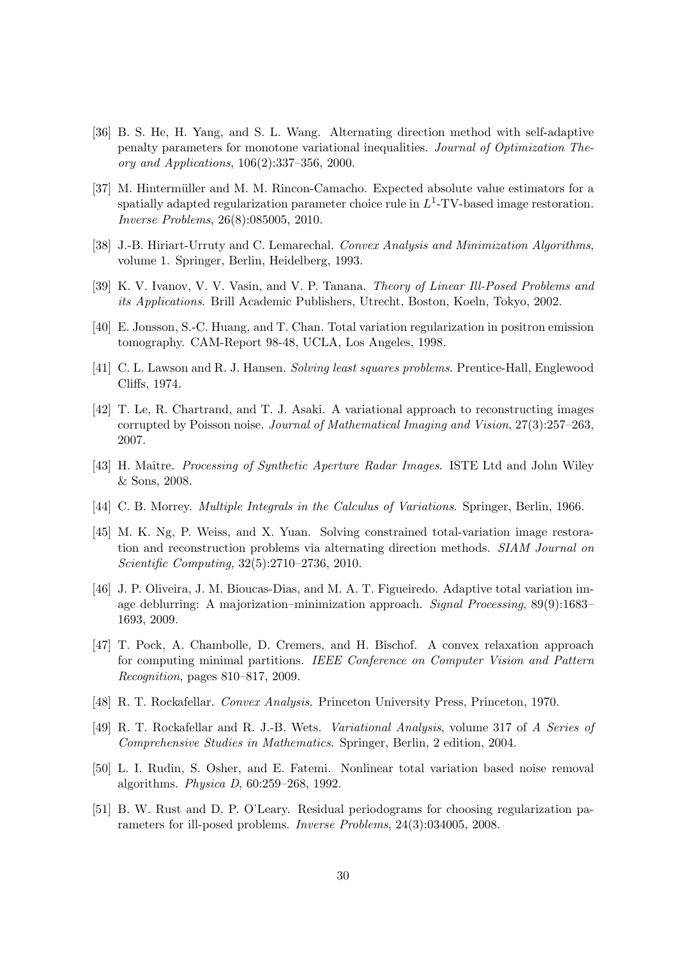- [36] B. S. He, H. Yang, and S. L. Wang. Alternating direction method with self-adaptive penalty parameters for monotone variational inequalities. Journal of Optimization Theory and Applications, 106(2):337–356, 2000.
- [37] M. Hintermüller and M. M. Rincon-Camacho. Expected absolute value estimators for a spatially adapted regularization parameter choice rule in  $L^1$ -TV-based image restoration. Inverse Problems, 26(8):085005, 2010.
- [38] J.-B. Hiriart-Urruty and C. Lemarechal. Convex Analysis and Minimization Algorithms, volume 1. Springer, Berlin, Heidelberg, 1993.
- [39] K. V. Ivanov, V. V. Vasin, and V. P. Tanana. Theory of Linear Ill-Posed Problems and its Applications. Brill Academic Publishers, Utrecht, Boston, Koeln, Tokyo, 2002.
- [40] E. Jonsson, S.-C. Huang, and T. Chan. Total variation regularization in positron emission tomography. CAM-Report 98-48, UCLA, Los Angeles, 1998.
- [41] C. L. Lawson and R. J. Hansen. Solving least squares problems. Prentice-Hall, Englewood Cliffs, 1974.
- [42] T. Le, R. Chartrand, and T. J. Asaki. A variational approach to reconstructing images corrupted by Poisson noise. Journal of Mathematical Imaging and Vision, 27(3):257–263, 2007.
- [43] H. Maître. Processing of Synthetic Aperture Radar Images. ISTE Ltd and John Wiley & Sons, 2008.
- [44] C. B. Morrey. Multiple Integrals in the Calculus of Variations. Springer, Berlin, 1966.
- [45] M. K. Ng, P. Weiss, and X. Yuan. Solving constrained total-variation image restoration and reconstruction problems via alternating direction methods. SIAM Journal on Scientific Computing, 32(5):2710–2736, 2010.
- [46] J. P. Oliveira, J. M. Bioucas-Dias, and M. A. T. Figueiredo. Adaptive total variation image deblurring: A majorization–minimization approach. Signal Processing, 89(9):1683– 1693, 2009.
- [47] T. Pock, A. Chambolle, D. Cremers, and H. Bischof. A convex relaxation approach for computing minimal partitions. IEEE Conference on Computer Vision and Pattern Recognition, pages 810–817, 2009.
- [48] R. T. Rockafellar. Convex Analysis. Princeton University Press, Princeton, 1970.
- [49] R. T. Rockafellar and R. J.-B. Wets. Variational Analysis, volume 317 of A Series of Comprehensive Studies in Mathematics. Springer, Berlin, 2 edition, 2004.
- [50] L. I. Rudin, S. Osher, and E. Fatemi. Nonlinear total variation based noise removal algorithms. Physica D, 60:259–268, 1992.
- [51] B. W. Rust and D. P. O'Leary. Residual periodograms for choosing regularization parameters for ill-posed problems. Inverse Problems, 24(3):034005, 2008.